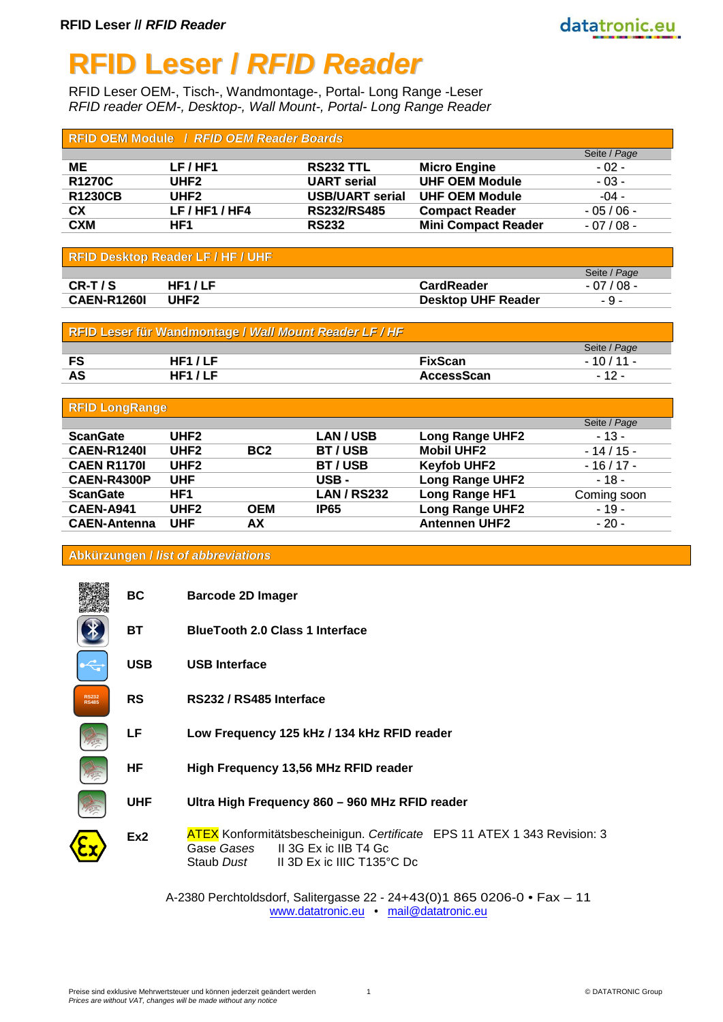# **RFID Leser /** *RFID Reader*

RFID Leser OEM-, Tisch-, Wandmontage-, Portal- Long Range -Leser *RFID reader OEM-, Desktop-, Wall Mount-, Portal- Long Range Reader*

| <b>RFID OEM Module / RFID OEM Reader Boards</b> |                |                        |                            |              |  |
|-------------------------------------------------|----------------|------------------------|----------------------------|--------------|--|
|                                                 |                |                        |                            | Seite / Page |  |
| ME                                              | LF/HF1         | <b>RS232 TTL</b>       | <b>Micro Engine</b>        | $-02 -$      |  |
| <b>R1270C</b>                                   | UHF2           | <b>UART</b> serial     | <b>UHF OEM Module</b>      | $-03 -$      |  |
| <b>R1230CB</b>                                  | UHF2           | <b>USB/UART serial</b> | <b>UHF OEM Module</b>      | $-04 -$      |  |
| CX                                              | LF / HF1 / HF4 | <b>RS232/RS485</b>     | <b>Compact Reader</b>      | $-05/06 -$   |  |
| <b>CXM</b>                                      | HF1            | <b>RS232</b>           | <b>Mini Compact Reader</b> | $-07/08 -$   |  |

| <b>RFID Desktop Reader LF / HF / UHF</b> |        |                           |              |  |
|------------------------------------------|--------|---------------------------|--------------|--|
|                                          |        |                           | Seite / Page |  |
| CR-T/S                                   | HF1/LF | <b>CardReader</b>         | $-07/08 -$   |  |
| <b>CAEN-R1260I</b>                       | UHF2   | <b>Desktop UHF Reader</b> | $-9-$        |  |

| RFID Leser für Wandmontage / Wall Mount Reader LF / HF |        |                   |              |
|--------------------------------------------------------|--------|-------------------|--------------|
|                                                        |        |                   | Seite / Page |
| FS                                                     | HF1/LF | <b>FixScan</b>    | $-10/11 -$   |
| AS                                                     | HF1/LF | <b>AccessScan</b> | $-12-$       |

| <b>RFID LongRange</b> |                  |                 |                    |                        |              |
|-----------------------|------------------|-----------------|--------------------|------------------------|--------------|
|                       |                  |                 |                    |                        | Seite / Page |
| <b>ScanGate</b>       | UHF <sub>2</sub> |                 | <b>LAN/USB</b>     | <b>Long Range UHF2</b> | $-13-$       |
| <b>CAEN-R1240I</b>    | UHF <sub>2</sub> | BC <sub>2</sub> | BT/USB             | <b>Mobil UHF2</b>      | $-14/15-$    |
| <b>CAEN R1170I</b>    | UHF <sub>2</sub> |                 | BT/USB             | <b>Keyfob UHF2</b>     | $-16/17-$    |
| <b>CAEN-R4300P</b>    | <b>UHF</b>       |                 | USB-               | <b>Long Range UHF2</b> | $-18-$       |
| <b>ScanGate</b>       | HF1              |                 | <b>LAN / RS232</b> | Long Range HF1         | Coming soon  |
| <b>CAEN-A941</b>      | UHF <sub>2</sub> | OEM             | <b>IP65</b>        | <b>Long Range UHF2</b> | $-19-$       |
| <b>CAEN-Antenna</b>   | <b>UHF</b>       | АΧ              |                    | <b>Antennen UHF2</b>   | $-20-$       |

#### **Abkürzungen /** *list of abbreviations*

|                              | ВC         | <b>Barcode 2D Imager</b>                                                                                                                                        |
|------------------------------|------------|-----------------------------------------------------------------------------------------------------------------------------------------------------------------|
|                              | <b>BT</b>  | <b>BlueTooth 2.0 Class 1 Interface</b>                                                                                                                          |
|                              | <b>USB</b> | <b>USB Interface</b>                                                                                                                                            |
| <b>RS232</b><br><b>RS485</b> | <b>RS</b>  | RS232 / RS485 Interface                                                                                                                                         |
|                              | LF         | Low Frequency 125 kHz / 134 kHz RFID reader                                                                                                                     |
|                              | HF         | High Frequency 13,56 MHz RFID reader                                                                                                                            |
|                              | <b>UHF</b> | Ultra High Frequency 860 - 960 MHz RFID reader                                                                                                                  |
|                              | Ex2        | <b>ATEX</b> Konformitätsbescheinigun. Certificate EPS 11 ATEX 1 343 Revision: 3<br>II 3G Ex ic IIB T4 Gc<br>Gase Gases<br>Staub Dust II 3D Ex ic IIIC T135°C Dc |

A-2380 Perchtoldsdorf, Salitergasse 22 - 24+43(0)1 865 0206-0 • Fax – 11 [www.datatronic.eu](http://www.datatronic.eu/) • [mail@datatronic.eu](mailto:mail@datatronic.eu)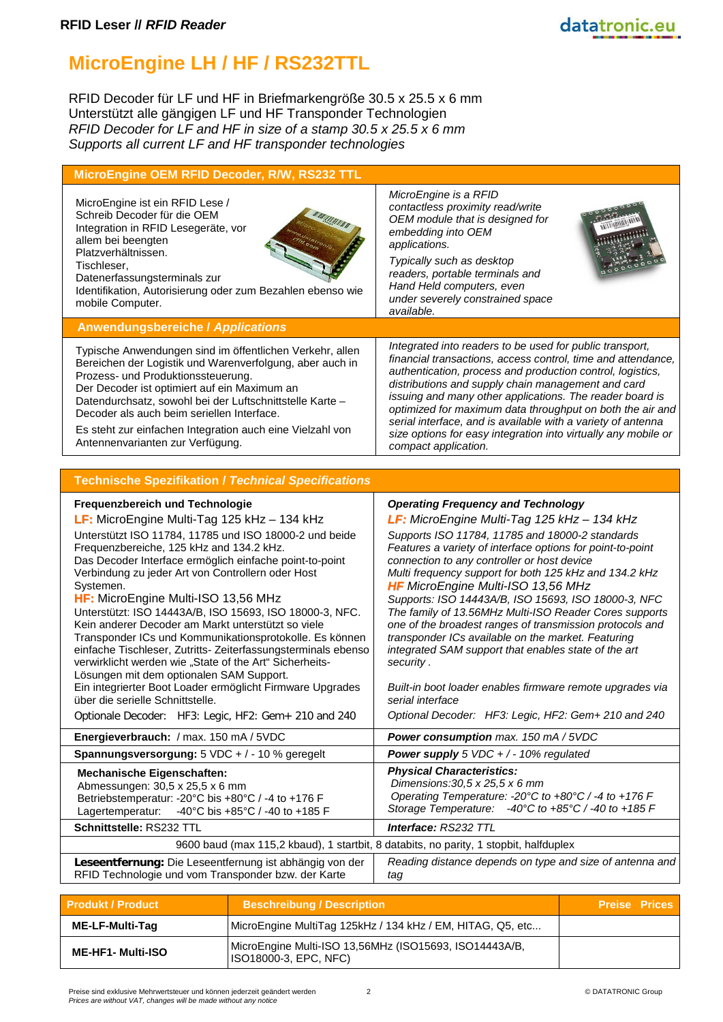# **MicroEngine LH / HF / RS232TTL**

RFID Decoder für LF und HF in Briefmarkengröße 30.5 x 25.5 x 6 mm Unterstützt alle gängigen LF und HF Transponder Technologien *RFID Decoder for LF and HF in size of a stamp 30.5 x 25.5 x 6 mm Supports all current LF and HF transponder technologies*

| MicroEngine OEM RFID Decoder, R/W, RS232 TTL                                                                                                                                                                                                                                                                                                                                                                          |                                                                                                                                                                                                                                                                                                                                                                                                                                                                                                                                 |
|-----------------------------------------------------------------------------------------------------------------------------------------------------------------------------------------------------------------------------------------------------------------------------------------------------------------------------------------------------------------------------------------------------------------------|---------------------------------------------------------------------------------------------------------------------------------------------------------------------------------------------------------------------------------------------------------------------------------------------------------------------------------------------------------------------------------------------------------------------------------------------------------------------------------------------------------------------------------|
| MicroEngine ist ein RFID Lese /<br>Schreib Decoder für die OEM<br>Integration in RFID Lesegeräte, vor<br>allem bei beengten<br>Platzverhältnissen.<br>Tischleser,<br>Datenerfassungsterminals zur<br>Identifikation, Autorisierung oder zum Bezahlen ebenso wie<br>mobile Computer.                                                                                                                                   | MicroEngine is a RFID<br>000000<br>contactless proximity read/write<br>OEM module that is designed for<br>embedding into OEM<br>applications.<br>Typically such as desktop<br>readers, portable terminals and<br>Hand Held computers, even<br>under severely constrained space<br>available.                                                                                                                                                                                                                                    |
| <b>Anwendungsbereiche / Applications</b>                                                                                                                                                                                                                                                                                                                                                                              |                                                                                                                                                                                                                                                                                                                                                                                                                                                                                                                                 |
| Typische Anwendungen sind im öffentlichen Verkehr, allen<br>Bereichen der Logistik und Warenverfolgung, aber auch in<br>Prozess- und Produktionssteuerung.<br>Der Decoder ist optimiert auf ein Maximum an<br>Datendurchsatz, sowohl bei der Luftschnittstelle Karte -<br>Decoder als auch beim seriellen Interface.<br>Es steht zur einfachen Integration auch eine Vielzahl von<br>Antennenvarianten zur Verfügung. | Integrated into readers to be used for public transport,<br>financial transactions, access control, time and attendance,<br>authentication, process and production control, logistics,<br>distributions and supply chain management and card<br>issuing and many other applications. The reader board is<br>optimized for maximum data throughput on both the air and<br>serial interface, and is available with a variety of antenna<br>size options for easy integration into virtually any mobile or<br>compact application. |
|                                                                                                                                                                                                                                                                                                                                                                                                                       |                                                                                                                                                                                                                                                                                                                                                                                                                                                                                                                                 |
| <b>Technische Spezifikation / Technical Specifications</b>                                                                                                                                                                                                                                                                                                                                                            |                                                                                                                                                                                                                                                                                                                                                                                                                                                                                                                                 |
| Erequenzhereich und Technologie                                                                                                                                                                                                                                                                                                                                                                                       | <b>Operating Frequency and Technology</b>                                                                                                                                                                                                                                                                                                                                                                                                                                                                                       |

| Frequenzbereich und Technologie                                                                                          | <b>Operating Frequency and Technology</b>                                                                                                             |
|--------------------------------------------------------------------------------------------------------------------------|-------------------------------------------------------------------------------------------------------------------------------------------------------|
| LF: MicroEngine Multi-Tag 125 kHz - 134 kHz                                                                              | LF: MicroEngine Multi-Tag 125 kHz - 134 kHz                                                                                                           |
| Unterstützt ISO 11784, 11785 und ISO 18000-2 und beide                                                                   | Supports ISO 11784, 11785 and 18000-2 standards                                                                                                       |
| Frequenzbereiche, 125 kHz and 134.2 kHz.                                                                                 | Features a variety of interface options for point-to-point                                                                                            |
| Das Decoder Interface ermöglich einfache point-to-point                                                                  | connection to any controller or host device                                                                                                           |
| Verbindung zu jeder Art von Controllern oder Host<br>Systemen.                                                           | Multi frequency support for both 125 kHz and 134.2 kHz<br><b>HF</b> MicroEngine Multi-ISO 13,56 MHz                                                   |
| HF: MicroEngine Multi-ISO 13,56 MHz                                                                                      | Supports: ISO 14443A/B, ISO 15693, ISO 18000-3, NFC                                                                                                   |
| Unterstützt: ISO 14443A/B, ISO 15693, ISO 18000-3, NFC.                                                                  | The family of 13.56MHz Multi-ISO Reader Cores supports                                                                                                |
| Kein anderer Decoder am Markt unterstützt so viele                                                                       | one of the broadest ranges of transmission protocols and                                                                                              |
| Transponder ICs und Kommunikationsprotokolle. Es können                                                                  | transponder ICs available on the market. Featuring                                                                                                    |
| einfache Tischleser, Zutritts- Zeiterfassungsterminals ebenso<br>verwirklicht werden wie "State of the Art" Sicherheits- | integrated SAM support that enables state of the art<br>security.                                                                                     |
| Lösungen mit dem optionalen SAM Support.                                                                                 |                                                                                                                                                       |
| Ein integrierter Boot Loader ermöglicht Firmware Upgrades                                                                | Built-in boot loader enables firmware remote upgrades via                                                                                             |
| über die serielle Schnittstelle.                                                                                         | serial interface                                                                                                                                      |
| Optionale Decoder: HF3: Legic, HF2: Gem+ 210 and 240                                                                     | Optional Decoder: HF3: Legic, HF2: Gem+ 210 and 240                                                                                                   |
| Energieverbrauch: / max. 150 mA / 5VDC                                                                                   | <b>Power consumption</b> max. 150 mA / 5VDC                                                                                                           |
| Spannungsversorgung: 5 VDC + / - 10 % geregelt                                                                           | <b>Power supply</b> 5 VDC + $/$ - 10% regulated                                                                                                       |
| <b>Mechanische Eigenschaften:</b>                                                                                        | <b>Physical Characteristics:</b>                                                                                                                      |
| Abmessungen: 30,5 x 25,5 x 6 mm                                                                                          | Dimensions: $30,5 \times 25,5 \times 6$ mm                                                                                                            |
| Betriebstemperatur: -20°C bis +80°C / -4 to +176 F                                                                       | Operating Temperature: -20 $\degree$ C to +80 $\degree$ C / -4 to +176 F<br>Storage Temperature: $-40^{\circ}$ C to $+85^{\circ}$ C / -40 to $+185$ F |
| Lagertemperatur: -40°C bis +85°C / -40 to +185 F                                                                         |                                                                                                                                                       |
| Schnittstelle: RS232 TTL                                                                                                 | Interface: RS232 TTL                                                                                                                                  |
|                                                                                                                          | 9600 baud (max 115,2 kbaud), 1 startbit, 8 databits, no parity, 1 stopbit, halfduplex                                                                 |
| Leseentfernung: Die Leseentfernung ist abhängig von der                                                                  | Reading distance depends on type and size of antenna and                                                                                              |
| RFID Technologie und vom Transponder bzw. der Karte                                                                      | tag                                                                                                                                                   |
|                                                                                                                          |                                                                                                                                                       |

| <b>Produkt / Product</b> | <b>Beschreibung / Description</b>                                                      | <b>Preise Prices</b> |
|--------------------------|----------------------------------------------------------------------------------------|----------------------|
| ME-LF-Multi-Tag          | MicroEngine MultiTag 125kHz / 134 kHz / EM, HITAG, Q5, etc                             |                      |
| <b>ME-HF1- Multi-ISO</b> | MicroEngine Multi-ISO 13,56MHz (ISO15693, ISO14443A/B,<br><b>ISO18000-3, EPC, NFC)</b> |                      |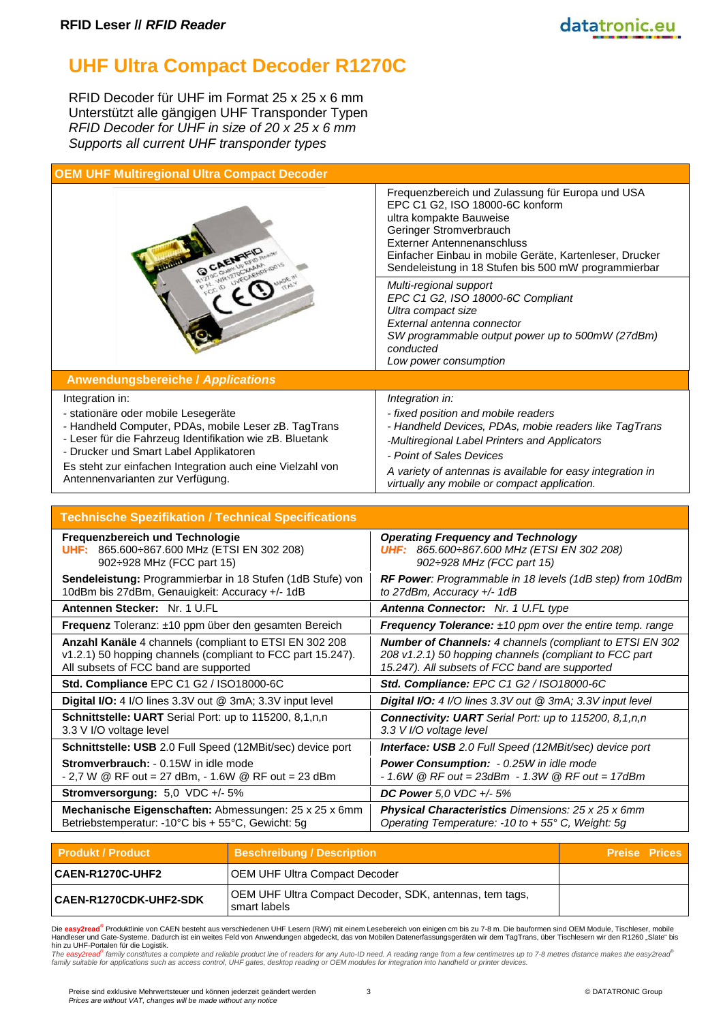## **UHF Ultra Compact Decoder R1270C**

RFID Decoder für UHF im Format 25 x 25 x 6 mm Unterstützt alle gängigen UHF Transponder Typen *RFID Decoder for UHF in size of 20 x 25 x 6 mm Supports all current UHF transponder types*

|                                                                                                                                                                                                                                                                                                                       | Frequenzbereich und Zulassung für Europa und USA<br>EPC C1 G2, ISO 18000-6C konform<br>ultra kompakte Bauweise<br>Geringer Stromverbrauch<br>Externer Antennenanschluss<br>Einfacher Einbau in mobile Geräte, Kartenleser, Drucker<br>Sendeleistung in 18 Stufen bis 500 mW programmierbar                 |
|-----------------------------------------------------------------------------------------------------------------------------------------------------------------------------------------------------------------------------------------------------------------------------------------------------------------------|------------------------------------------------------------------------------------------------------------------------------------------------------------------------------------------------------------------------------------------------------------------------------------------------------------|
|                                                                                                                                                                                                                                                                                                                       | Multi-regional support<br>EPC C1 G2, ISO 18000-6C Compliant<br>Ultra compact size<br>External antenna connector<br>SW programmable output power up to 500mW (27dBm)<br>conducted<br>Low power consumption                                                                                                  |
| <b>Anwendungsbereiche / Applications</b>                                                                                                                                                                                                                                                                              |                                                                                                                                                                                                                                                                                                            |
| Integration in:<br>- stationäre oder mobile Lesegeräte<br>- Handheld Computer, PDAs, mobile Leser zB. TagTrans<br>- Leser für die Fahrzeug Identifikation wie zB. Bluetank<br>- Drucker und Smart Label Applikatoren<br>Es steht zur einfachen Integration auch eine Vielzahl von<br>Antennenvarianten zur Verfügung. | Integration in:<br>- fixed position and mobile readers<br>- Handheld Devices, PDAs, mobie readers like TagTrans<br>-Multiregional Label Printers and Applicators<br>- Point of Sales Devices<br>A variety of antennas is available for easy integration in<br>virtually any mobile or compact application. |
| <b>Technische Spezifikation / Technical Specifications</b>                                                                                                                                                                                                                                                            |                                                                                                                                                                                                                                                                                                            |
| Frequenzbereich und Technologie<br>UHF: 865.600÷867.600 MHz (ETSI EN 302 208)                                                                                                                                                                                                                                         | <b>Operating Frequency and Technology</b>                                                                                                                                                                                                                                                                  |
| 902: 928 MHz (FCC part 15)                                                                                                                                                                                                                                                                                            | <b>UHF:</b> 865.600÷867.600 MHz (ETSI EN 302 208)<br>902: 928 MHz (FCC part 15)                                                                                                                                                                                                                            |
| Sendeleistung: Programmierbar in 18 Stufen (1dB Stufe) von<br>10dBm bis 27dBm, Genauigkeit: Accuracy +/- 1dB                                                                                                                                                                                                          | RF Power: Programmable in 18 levels (1dB step) from 10dBm<br>to 27dBm, Accuracy +/- 1dB                                                                                                                                                                                                                    |
| Antennen Stecker: Nr. 1 U.FL                                                                                                                                                                                                                                                                                          | Antenna Connector: Nr. 1 U.FL type                                                                                                                                                                                                                                                                         |
| Frequenz Toleranz: ±10 ppm über den gesamten Bereich                                                                                                                                                                                                                                                                  | <b>Frequency Tolerance:</b> $±10$ ppm over the entire temp. range                                                                                                                                                                                                                                          |
| Anzahl Kanäle 4 channels (compliant to ETSI EN 302 208<br>v1.2.1) 50 hopping channels (compliant to FCC part 15.247).<br>All subsets of FCC band are supported                                                                                                                                                        | Number of Channels: 4 channels (compliant to ETSI EN 302<br>208 v1.2.1) 50 hopping channels (compliant to FCC part<br>15.247). All subsets of FCC band are supported                                                                                                                                       |
| Std. Compliance EPC C1 G2 / ISO18000-6C                                                                                                                                                                                                                                                                               | Std. Compliance: EPC C1 G2 / ISO18000-6C                                                                                                                                                                                                                                                                   |
| Digital I/O: 4 I/O lines 3.3V out @ 3mA; 3.3V input level                                                                                                                                                                                                                                                             | Digital I/O: 4 I/O lines 3.3V out @ 3mA; 3.3V input level                                                                                                                                                                                                                                                  |
| Schnittstelle: UART Serial Port: up to 115200, 8,1,n,n<br>3.3 V I/O voltage level                                                                                                                                                                                                                                     | <b>Connectivity: UART</b> Serial Port: up to 115200, 8,1,n,n<br>3.3 V I/O voltage level                                                                                                                                                                                                                    |
| Schnittstelle: USB 2.0 Full Speed (12MBit/sec) device port                                                                                                                                                                                                                                                            | Interface: USB 2.0 Full Speed (12MBit/sec) device port                                                                                                                                                                                                                                                     |
| Stromverbrauch: - 0.15W in idle mode<br>- 2,7 W $\circledR$ RF out = 27 dBm, - 1.6W $\circledR$ RF out = 23 dBm                                                                                                                                                                                                       | Power Consumption: - 0.25W in idle mode<br>$-1.6W$ @ RF out = 23dBm $-1.3W$ @ RF out = 17dBm                                                                                                                                                                                                               |
| Stromversorgung: 5,0 VDC +/- 5%                                                                                                                                                                                                                                                                                       | DC Power 5,0 VDC +/- 5%                                                                                                                                                                                                                                                                                    |
| Mechanische Eigenschaften: Abmessungen: 25 x 25 x 6mm<br>Betriebstemperatur: -10°C bis + 55°C, Gewicht: 5g                                                                                                                                                                                                            | Physical Characteristics Dimensions: 25 x 25 x 6mm<br>Operating Temperature: -10 to + 55° C, Weight: 5g                                                                                                                                                                                                    |

| <b>Produkt / Product</b> | <b>Beschreibung / Description</b>                                       | <b>Preise Prices</b> |
|--------------------------|-------------------------------------------------------------------------|----------------------|
| <b>CAEN-R1270C-UHF2</b>  | OEM UHF Ultra Compact Decoder                                           |                      |
| CAEN-R1270CDK-UHF2-SDK   | OEM UHF Ultra Compact Decoder, SDK, antennas, tem tags,<br>smart labels |                      |

Die <mark>easy2read<sup>®</sup> Produktlinie von CAEN besteht aus verschiedenen UHF Lesern (R/W) mit einem Lesebereich von einigen cm bis zu 7-8 m. Die bauformen sind OEM Module, Tischleser, mobile<br>Handleser und Gate-Systeme. Dadurch is</mark>

hin zu UHF-Portalen für die Logistik.<br>The easy2read<sup>ser</sup>tamily constitutes a complete and reliable product line of readers for any Auto-ID need. A reading range from a few centimetres up to 7-8 metres distance makes the ea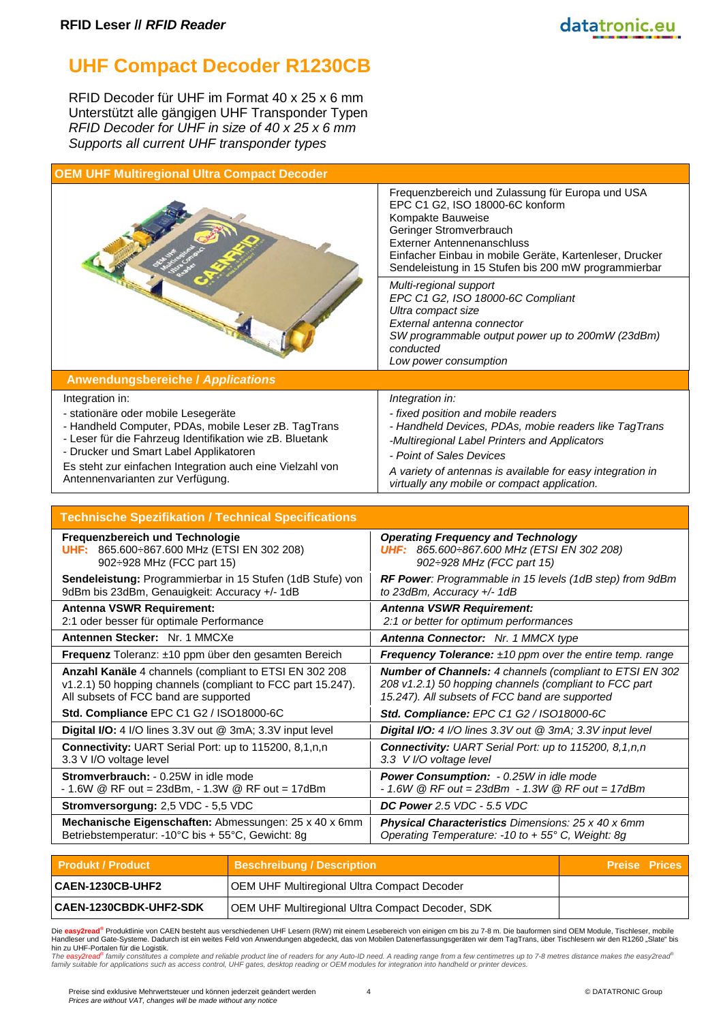### **UHF Compact Decoder R1230CB**

RFID Decoder für UHF im Format 40 x 25 x 6 mm Unterstützt alle gängigen UHF Transponder Typen *RFID Decoder for UHF in size of 40 x 25 x 6 mm Supports all current UHF transponder types*

| <b>OEM UHF Multiregional Ultra Compact Decoder</b>                                                                                                                                                                                                                                                                    |                                                                                                                                                                                                                                                                                                            |
|-----------------------------------------------------------------------------------------------------------------------------------------------------------------------------------------------------------------------------------------------------------------------------------------------------------------------|------------------------------------------------------------------------------------------------------------------------------------------------------------------------------------------------------------------------------------------------------------------------------------------------------------|
|                                                                                                                                                                                                                                                                                                                       | Frequenzbereich und Zulassung für Europa und USA<br>EPC C1 G2, ISO 18000-6C konform<br>Kompakte Bauweise<br>Geringer Stromverbrauch<br><b>Externer Antennenanschluss</b><br>Einfacher Einbau in mobile Geräte, Kartenleser, Drucker<br>Sendeleistung in 15 Stufen bis 200 mW programmierbar                |
|                                                                                                                                                                                                                                                                                                                       | Multi-regional support<br>EPC C1 G2, ISO 18000-6C Compliant<br>Ultra compact size<br>External antenna connector<br>SW programmable output power up to 200mW (23dBm)<br>conducted<br>Low power consumption                                                                                                  |
| <b>Anwendungsbereiche / Applications</b>                                                                                                                                                                                                                                                                              |                                                                                                                                                                                                                                                                                                            |
| Integration in:<br>- stationäre oder mobile Lesegeräte<br>- Handheld Computer, PDAs, mobile Leser zB. TagTrans<br>- Leser für die Fahrzeug Identifikation wie zB. Bluetank<br>- Drucker und Smart Label Applikatoren<br>Es steht zur einfachen Integration auch eine Vielzahl von<br>Antennenvarianten zur Verfügung. | Integration in:<br>- fixed position and mobile readers<br>- Handheld Devices, PDAs, mobie readers like TagTrans<br>-Multiregional Label Printers and Applicators<br>- Point of Sales Devices<br>A variety of antennas is available for easy integration in<br>virtually any mobile or compact application. |
|                                                                                                                                                                                                                                                                                                                       |                                                                                                                                                                                                                                                                                                            |
| <b>Technische Spezifikation / Technical Specifications</b>                                                                                                                                                                                                                                                            |                                                                                                                                                                                                                                                                                                            |
| Frequenzbereich und Technologie<br>UHF: 865.600÷867.600 MHz (ETSI EN 302 208)<br>902÷928 MHz (FCC part 15)                                                                                                                                                                                                            | <b>Operating Frequency and Technology</b><br>UHF: 865.600÷867.600 MHz (ETSI EN 302 208)<br>902: 928 MHz (FCC part 15)                                                                                                                                                                                      |
| Sendeleistung: Programmierbar in 15 Stufen (1dB Stufe) von<br>9dBm bis 23dBm, Genauigkeit: Accuracy +/- 1dB                                                                                                                                                                                                           | RF Power: Programmable in 15 levels (1dB step) from 9dBm<br>to 23dBm, Accuracy +/- 1dB                                                                                                                                                                                                                     |
| <b>Antenna VSWR Requirement:</b><br>2:1 oder besser für optimale Performance                                                                                                                                                                                                                                          | <b>Antenna VSWR Requirement:</b><br>2:1 or better for optimum performances                                                                                                                                                                                                                                 |
| Antennen Stecker: Nr. 1 MMCXe                                                                                                                                                                                                                                                                                         | Antenna Connector: Nr. 1 MMCX type                                                                                                                                                                                                                                                                         |
| Frequenz Toleranz: ±10 ppm über den gesamten Bereich                                                                                                                                                                                                                                                                  | Frequency Tolerance: $±10$ ppm over the entire temp. range                                                                                                                                                                                                                                                 |
| Anzahl Kanäle 4 channels (compliant to ETSI EN 302 208<br>v1.2.1) 50 hopping channels (compliant to FCC part 15.247).<br>All subsets of FCC band are supported                                                                                                                                                        | Number of Channels: 4 channels (compliant to ETSI EN 302<br>208 v1.2.1) 50 hopping channels (compliant to FCC part<br>15.247). All subsets of FCC band are supported                                                                                                                                       |
| Std. Compliance EPC C1 G2 / ISO18000-6C                                                                                                                                                                                                                                                                               | Std. Compliance: EPC C1 G2 / ISO18000-6C                                                                                                                                                                                                                                                                   |
| Digital I/O: 4 I/O lines 3.3V out @ 3mA; 3.3V input level                                                                                                                                                                                                                                                             | Digital I/O: 4 I/O lines 3.3V out @ 3mA; 3.3V input level                                                                                                                                                                                                                                                  |
| Connectivity: UART Serial Port: up to 115200, 8,1,n,n<br>3.3 V I/O voltage level                                                                                                                                                                                                                                      | Connectivity: UART Serial Port: up to 115200, 8,1,n,n<br>3.3 V I/O voltage level                                                                                                                                                                                                                           |
| Stromverbrauch: - 0.25W in idle mode<br>$-1.6W \n\circledR$ RF out = 23dBm, $-1.3W \n\circledR$ RF out = 17dBm                                                                                                                                                                                                        | Power Consumption: - 0.25W in idle mode<br>$-1.6W$ @ RF out = 23dBm $-1.3W$ @ RF out = 17dBm                                                                                                                                                                                                               |
| Stromversorgung: 2,5 VDC - 5,5 VDC                                                                                                                                                                                                                                                                                    | DC Power 2.5 VDC - 5.5 VDC                                                                                                                                                                                                                                                                                 |
| Mechanische Eigenschaften: Abmessungen: 25 x 40 x 6mm<br>Betriebstemperatur: -10°C bis + 55°C, Gewicht: 8g                                                                                                                                                                                                            | Physical Characteristics Dimensions: 25 x 40 x 6mm<br>Operating Temperature: -10 to + 55° C, Weight: 8g                                                                                                                                                                                                    |

| <b>Produkt / Product</b> | <b>Beschreibung / Description</b>                  | <b>Preise Prices</b> |  |
|--------------------------|----------------------------------------------------|----------------------|--|
| <b>CAEN-1230CB-UHF2</b>  | <b>OEM UHF Multiregional Ultra Compact Decoder</b> |                      |  |
| CAEN-1230CBDK-UHF2-SDK   | OEM UHF Multiregional Ultra Compact Decoder, SDK   |                      |  |

Die **easy2read®** Produktlinie von CAEN besteht aus verschiedenen UHF Lesern (R/W) mit einem Lesebereich von einigen cm bis zu 7-8 m. Die bauformen sind OEM Module, Tischleser, mobile Handleser und Gate-Systeme. Dadurch ist ein weites Feld von Anwendungen abgedeckt, das von Mobilen Datenerfassungsgeräten wir dem TagTrans, über Tischlesern wir den R1260 "Slate" bis

hin zu UHF-Portalen für die Logistik.<br>The easy2read<sup>ser</sup>tamily constitutes a complete and reliable product line of readers for any Auto-ID need. A reading range from a few centimetres up to 7-8 metres distance makes the ea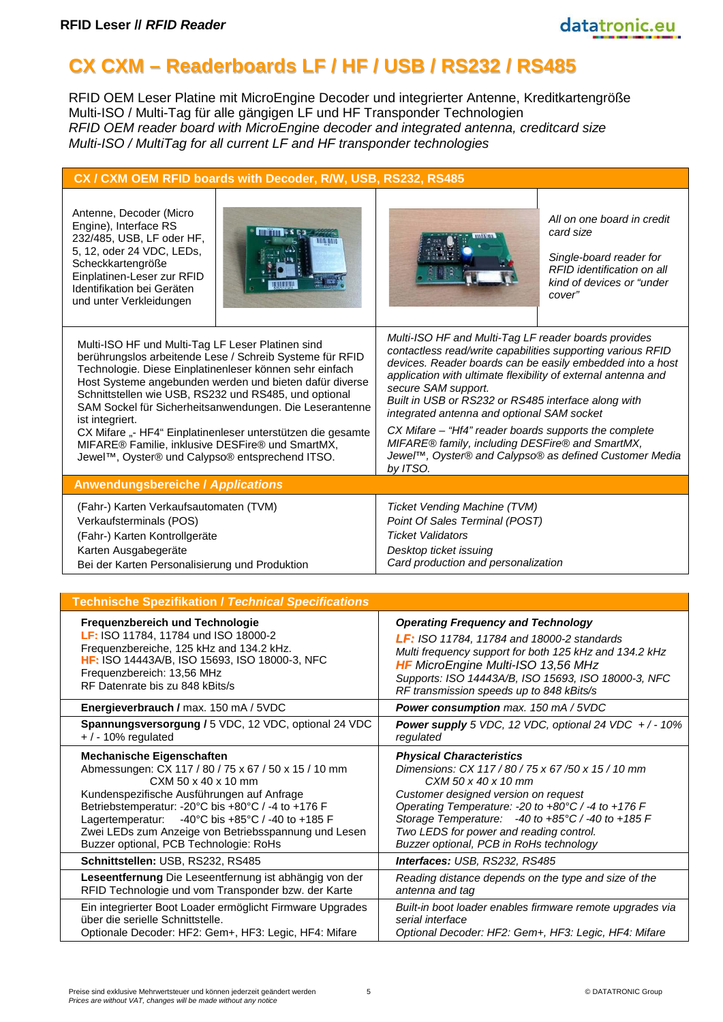# **CX CXM – Readerboards LF / HF / USB / RS232 / RS485**

RFID OEM Leser Platine mit MicroEngine Decoder und integrierter Antenne, Kreditkartengröße Multi-ISO / Multi-Tag für alle gängigen LF und HF Transponder Technologien *RFID OEM reader board with MicroEngine decoder and integrated antenna, creditcard size Multi-ISO / MultiTag for all current LF and HF transponder technologies*

| CX / CXM OEM RFID boards with Decoder, R/W, USB, RS232, RS485                                                                                                                                                                                                                                                                                                                                                                                                                                                                                    |                                                                                                                                                                                                                                                                                                                                                                                                                                                                                                                                                                 |  |
|--------------------------------------------------------------------------------------------------------------------------------------------------------------------------------------------------------------------------------------------------------------------------------------------------------------------------------------------------------------------------------------------------------------------------------------------------------------------------------------------------------------------------------------------------|-----------------------------------------------------------------------------------------------------------------------------------------------------------------------------------------------------------------------------------------------------------------------------------------------------------------------------------------------------------------------------------------------------------------------------------------------------------------------------------------------------------------------------------------------------------------|--|
| Antenne, Decoder (Micro<br>Engine), Interface RS<br>232/485, USB, LF oder HF,<br>5, 12, oder 24 VDC, LEDs,<br>Scheckkartengröße<br>Einplatinen-Leser zur RFID<br>Identifikation bei Geräten<br>und unter Verkleidungen                                                                                                                                                                                                                                                                                                                           | All on one board in credit<br>card size<br>Single-board reader for<br>RFID identification on all<br>kind of devices or "under<br>cover"                                                                                                                                                                                                                                                                                                                                                                                                                         |  |
| Multi-ISO HF und Multi-Tag LF Leser Platinen sind<br>berührungslos arbeitende Lese / Schreib Systeme für RFID<br>Technologie. Diese Einplatinenleser können sehr einfach<br>Host Systeme angebunden werden und bieten dafür diverse<br>Schnittstellen wie USB, RS232 und RS485, und optional<br>SAM Sockel für Sicherheitsanwendungen. Die Leserantenne<br>ist integriert.<br>CX Mifare "- HF4" Einplatinenleser unterstützen die gesamte<br>MIFARE® Familie, inklusive DESFire® und SmartMX,<br>Jewel™, Oyster® und Calypso® entsprechend ITSO. | Multi-ISO HF and Multi-Tag LF reader boards provides<br>contactless read/write capabilities supporting various RFID<br>devices. Reader boards can be easily embedded into a host<br>application with ultimate flexibility of external antenna and<br>secure SAM support.<br>Built in USB or RS232 or RS485 interface along with<br>integrated antenna and optional SAM socket<br>CX Mifare - "Hf4" reader boards supports the complete<br>MIFARE® family, including DESFire® and SmartMX,<br>Jewel™, Oyster® and Calypso® as defined Customer Media<br>by ITSO. |  |
| <b>Anwendungsbereiche / Applications</b>                                                                                                                                                                                                                                                                                                                                                                                                                                                                                                         |                                                                                                                                                                                                                                                                                                                                                                                                                                                                                                                                                                 |  |
| (Fahr-) Karten Verkaufsautomaten (TVM)<br>Verkaufsterminals (POS)<br>(Fahr-) Karten Kontrollgeräte<br>Karten Ausgabegeräte<br>Bei der Karten Personalisierung und Produktion                                                                                                                                                                                                                                                                                                                                                                     | Ticket Vending Machine (TVM)<br>Point Of Sales Terminal (POST)<br><b>Ticket Validators</b><br>Desktop ticket issuing<br>Card production and personalization                                                                                                                                                                                                                                                                                                                                                                                                     |  |
| <b>Technische Spezifikation / Technical Specifications</b>                                                                                                                                                                                                                                                                                                                                                                                                                                                                                       |                                                                                                                                                                                                                                                                                                                                                                                                                                                                                                                                                                 |  |
| Frequenzbereich und Technologie<br>LF: ISO 11784, 11784 und ISO 18000-2<br>Frequenzbereiche, 125 kHz and 134.2 kHz.<br>HF: ISO 14443A/B, ISO 15693, ISO 18000-3, NFC<br>Frequenzbereich: 13,56 MHz<br>RF Datenrate bis zu 848 kBits/s<br>Energieverbrauch / max. 150 mA / 5VDC                                                                                                                                                                                                                                                                   | <b>Operating Frequency and Technology</b><br>LF: ISO 11784, 11784 and 18000-2 standards<br>Multi frequency support for both 125 kHz and 134.2 kHz<br><b>HF</b> MicroEngine Multi-ISO 13,56 MHz<br>Supports: ISO 14443A/B, ISO 15693, ISO 18000-3, NFC<br>RF transmission speeds up to 848 kBits/s<br>Power consumption max. 150 mA / 5VDC                                                                                                                                                                                                                       |  |
| Spannungsversorgung / 5 VDC, 12 VDC, optional 24 VDC                                                                                                                                                                                                                                                                                                                                                                                                                                                                                             | <b>Power supply</b> 5 VDC, 12 VDC, optional 24 VDC $+/-10\%$                                                                                                                                                                                                                                                                                                                                                                                                                                                                                                    |  |
| $+$ / - 10% regulated<br><b>Mechanische Eigenschaften</b><br>Abmessungen: CX 117 / 80 / 75 x 67 / 50 x 15 / 10 mm<br>CXM 50 x 40 x 10 mm<br>Kundenspezifische Ausführungen auf Anfrage<br>Betriebstemperatur: -20°C bis +80°C / -4 to +176 F<br>Lagertemperatur:<br>-40°C bis +85°C / -40 to +185 F<br>Zwei LEDs zum Anzeige von Betriebsspannung und Lesen<br>Buzzer optional, PCB Technologie: RoHs                                                                                                                                            | regulated<br><b>Physical Characteristics</b><br>Dimensions: CX 117/80/75 x 67/50 x 15/10 mm<br>CXM 50 x 40 x 10 mm<br>Customer designed version on request<br>Operating Temperature: - 20 to +80°C / -4 to +176 F<br>Storage Temperature: $-40$ to $+85^{\circ}$ C / -40 to $+185$ F<br>Two LEDS for power and reading control.<br>Buzzer optional, PCB in RoHs technology                                                                                                                                                                                      |  |
| Schnittstellen: USB, RS232, RS485                                                                                                                                                                                                                                                                                                                                                                                                                                                                                                                | Interfaces: USB, RS232, RS485                                                                                                                                                                                                                                                                                                                                                                                                                                                                                                                                   |  |
| Leseentfernung Die Leseentfernung ist abhängig von der<br>RFID Technologie und vom Transponder bzw. der Karte<br>Ein integrierter Boot Loader ermöglicht Firmware Upgrades                                                                                                                                                                                                                                                                                                                                                                       | Reading distance depends on the type and size of the<br>antenna and tag<br>Built-in boot loader enables firmware remote upgrades via                                                                                                                                                                                                                                                                                                                                                                                                                            |  |
| über die serielle Schnittstelle.<br>Optionale Decoder: HF2: Gem+, HF3: Legic, HF4: Mifare                                                                                                                                                                                                                                                                                                                                                                                                                                                        | serial interface<br>Optional Decoder: HF2: Gem+, HF3: Legic, HF4: Mifare                                                                                                                                                                                                                                                                                                                                                                                                                                                                                        |  |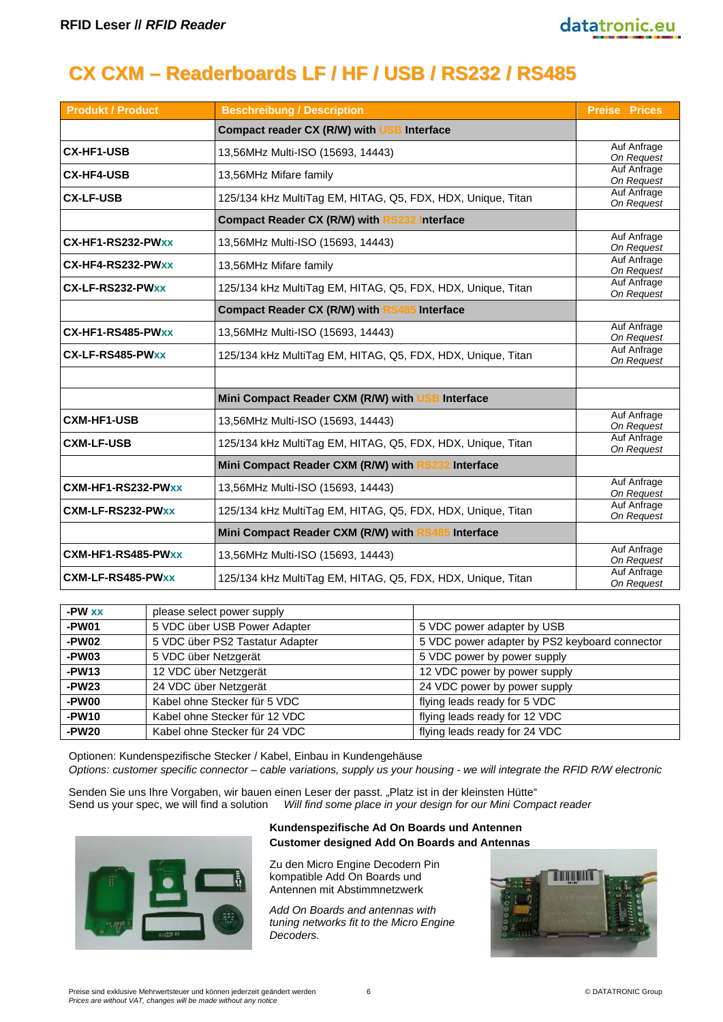# **CX CXM – Readerboards LF / HF / USB / RS232 / RS485**

| <b>Produkt / Product</b> | <b>Beschreibung / Description</b>                           | <b>Preise Prices</b>      |
|--------------------------|-------------------------------------------------------------|---------------------------|
|                          | Compact reader CX (R/W) with USB Interface                  |                           |
| <b>CX-HF1-USB</b>        | 13,56MHz Multi-ISO (15693, 14443)                           | Auf Anfrage<br>On Request |
| <b>CX-HF4-USB</b>        | 13,56MHz Mifare family                                      | Auf Anfrage<br>On Request |
| <b>CX-LF-USB</b>         | 125/134 kHz MultiTag EM, HITAG, Q5, FDX, HDX, Unique, Titan | Auf Anfrage<br>On Request |
|                          | <b>Compact Reader CX (R/W) with RS232 Interface</b>         |                           |
| CX-HF1-RS232-PWxx        | 13,56MHz Multi-ISO (15693, 14443)                           | Auf Anfrage<br>On Request |
| CX-HF4-RS232-PWxx        | 13,56MHz Mifare family                                      | Auf Anfrage<br>On Request |
| CX-LF-RS232-PWxx         | 125/134 kHz MultiTag EM, HITAG, Q5, FDX, HDX, Unique, Titan | Auf Anfrage<br>On Request |
|                          | <b>Compact Reader CX (R/W) with RS485 Interface</b>         |                           |
| CX-HF1-RS485-PWxx        | 13,56MHz Multi-ISO (15693, 14443)                           | Auf Anfrage<br>On Request |
| CX-LF-RS485-PWxx         | 125/134 kHz MultiTag EM, HITAG, Q5, FDX, HDX, Unique, Titan | Auf Anfrage<br>On Request |
|                          |                                                             |                           |
|                          | Mini Compact Reader CXM (R/W) with USB Interface            |                           |
| <b>CXM-HF1-USB</b>       | 13,56MHz Multi-ISO (15693, 14443)                           | Auf Anfrage<br>On Request |
| <b>CXM-LF-USB</b>        | 125/134 kHz MultiTag EM, HITAG, Q5, FDX, HDX, Unique, Titan | Auf Anfrage<br>On Request |
|                          | Mini Compact Reader CXM (R/W) with RS232 Interface          |                           |
| CXM-HF1-RS232-PWxx       | 13,56MHz Multi-ISO (15693, 14443)                           | Auf Anfrage<br>On Request |
| CXM-LF-RS232-PWxx        | 125/134 kHz MultiTag EM, HITAG, Q5, FDX, HDX, Unique, Titan | Auf Anfrage<br>On Request |
|                          | Mini Compact Reader CXM (R/W) with RS485 Interface          |                           |
| CXM-HF1-RS485-PWxx       | 13,56MHz Multi-ISO (15693, 14443)                           | Auf Anfrage<br>On Request |
| CXM-LF-RS485-PWxx        | 125/134 kHz MultiTag EM, HITAG, Q5, FDX, HDX, Unique, Titan | Auf Anfrage<br>On Request |

| -PW xx  | please select power supply      |                                               |
|---------|---------------------------------|-----------------------------------------------|
| -PW01   | 5 VDC über USB Power Adapter    | 5 VDC power adapter by USB                    |
| $-PW02$ | 5 VDC über PS2 Tastatur Adapter | 5 VDC power adapter by PS2 keyboard connector |
| -PW03   | 5 VDC über Netzgerät            | 5 VDC power by power supply                   |
| $-PW13$ | 12 VDC über Netzgerät           | 12 VDC power by power supply                  |
| $-PW23$ | 24 VDC über Netzgerät           | 24 VDC power by power supply                  |
| -PW00   | Kabel ohne Stecker für 5 VDC    | flying leads ready for 5 VDC                  |
| -PW10   | Kabel ohne Stecker für 12 VDC   | flying leads ready for 12 VDC                 |
| -PW20   | Kabel ohne Stecker für 24 VDC   | flying leads ready for 24 VDC                 |

Optionen: Kundenspezifische Stecker / Kabel, Einbau in Kundengehäuse *Options: customer specific connector – cable variations, supply us your housing - we will integrate the RFID R/W electronic*

Senden Sie uns Ihre Vorgaben, wir bauen einen Leser der passt. "Platz ist in der kleinsten Hütte" Send us your spec, we will find a solution *Will find some place in your design for our Mini Compact reader*



#### **Kundenspezifische Ad On Boards und Antennen Customer designed Add On Boards and Antennas**

Zu den Micro Engine Decodern Pin kompatible Add On Boards und Antennen mit Abstimmnetzwerk

*Add On Boards and antennas with tuning networks fit to the Micro Engine Decoders.*

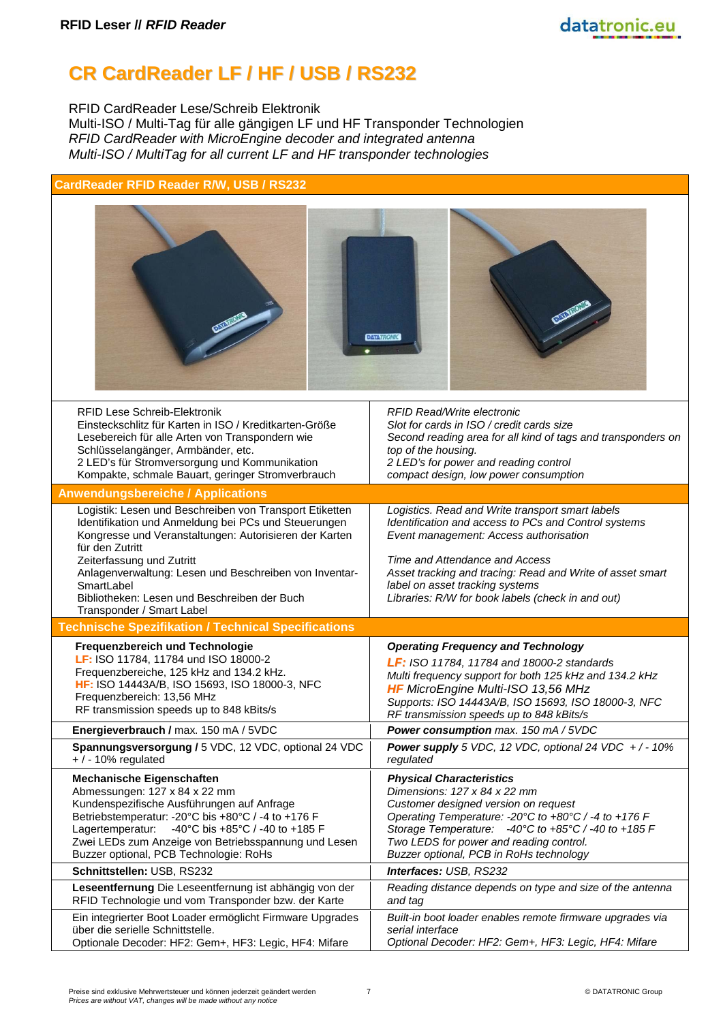# **CR CardReader LF / HF / USB / RS232**

RFID CardReader Lese/Schreib Elektronik Multi-ISO / Multi-Tag für alle gängigen LF und HF Transponder Technologien *RFID CardReader with MicroEngine decoder and integrated antenna Multi-ISO / MultiTag for all current LF and HF transponder technologies*

| CardReader RFID Reader R/W, USB / RS232                                                                                                                                                                                                                                                                                                                                        |                                                                                                                                                                                                                                                                                                                                           |  |  |
|--------------------------------------------------------------------------------------------------------------------------------------------------------------------------------------------------------------------------------------------------------------------------------------------------------------------------------------------------------------------------------|-------------------------------------------------------------------------------------------------------------------------------------------------------------------------------------------------------------------------------------------------------------------------------------------------------------------------------------------|--|--|
|                                                                                                                                                                                                                                                                                                                                                                                | <b>DATA<i>TRON</i></b>                                                                                                                                                                                                                                                                                                                    |  |  |
| <b>RFID Lese Schreib-Elektronik</b><br>Einsteckschlitz für Karten in ISO / Kreditkarten-Größe<br>Lesebereich für alle Arten von Transpondern wie<br>Schlüsselangänger, Armbänder, etc.<br>2 LED's für Stromversorgung und Kommunikation<br>Kompakte, schmale Bauart, geringer Stromverbrauch                                                                                   | <b>RFID Read/Write electronic</b><br>Slot for cards in ISO / credit cards size<br>Second reading area for all kind of tags and transponders on<br>top of the housing.<br>2 LED's for power and reading control<br>compact design, low power consumption                                                                                   |  |  |
| <b>Anwendungsbereiche / Applications</b>                                                                                                                                                                                                                                                                                                                                       |                                                                                                                                                                                                                                                                                                                                           |  |  |
| Logistik: Lesen und Beschreiben von Transport Etiketten<br>Identifikation und Anmeldung bei PCs und Steuerungen<br>Kongresse und Veranstaltungen: Autorisieren der Karten<br>für den Zutritt<br>Zeiterfassung und Zutritt<br>Anlagenverwaltung: Lesen und Beschreiben von Inventar-<br>SmartLabel<br>Bibliotheken: Lesen und Beschreiben der Buch<br>Transponder / Smart Label | Logistics. Read and Write transport smart labels<br>Identification and access to PCs and Control systems<br>Event management: Access authorisation<br>Time and Attendance and Access<br>Asset tracking and tracing: Read and Write of asset smart<br>label on asset tracking systems<br>Libraries: R/W for book labels (check in and out) |  |  |
| <b>Technische Spezifikation / Technical Specifications</b>                                                                                                                                                                                                                                                                                                                     |                                                                                                                                                                                                                                                                                                                                           |  |  |
| Frequenzbereich und Technologie<br>LF: ISO 11784, 11784 und ISO 18000-2<br>Frequenzbereiche, 125 kHz and 134.2 kHz.<br>HF: ISO 14443A/B, ISO 15693, ISO 18000-3, NFC<br>Frequenzbereich: 13,56 MHz<br>RF transmission speeds up to 848 kBits/s                                                                                                                                 | <b>Operating Frequency and Technology</b><br>LF: ISO 11784, 11784 and 18000-2 standards<br>Multi frequency support for both 125 kHz and 134.2 kHz<br>HF MicroEngine Multi-ISO 13,56 MHz<br>Supports: ISO 14443A/B, ISO 15693, ISO 18000-3, NFC<br>RF transmission speeds up to 848 kBits/s                                                |  |  |
| Energieverbrauch / max. 150 mA / 5VDC                                                                                                                                                                                                                                                                                                                                          | Power consumption max. 150 mA / 5VDC                                                                                                                                                                                                                                                                                                      |  |  |
| Spannungsversorgung / 5 VDC, 12 VDC, optional 24 VDC<br>$+$ / - 10% regulated                                                                                                                                                                                                                                                                                                  | <b>Power supply</b> 5 VDC, 12 VDC, optional 24 VDC $+/-10\%$<br>regulated                                                                                                                                                                                                                                                                 |  |  |
| <b>Mechanische Eigenschaften</b><br>Abmessungen: 127 x 84 x 22 mm<br>Kundenspezifische Ausführungen auf Anfrage<br>Betriebstemperatur: -20°C bis +80°C / -4 to +176 F<br>-40°C bis +85°C / -40 to +185 F<br>Lagertemperatur:<br>Zwei LEDs zum Anzeige von Betriebsspannung und Lesen<br>Buzzer optional, PCB Technologie: RoHs                                                 | <b>Physical Characteristics</b><br>Dimensions: 127 x 84 x 22 mm<br>Customer designed version on request<br>Operating Temperature: -20°C to +80°C / -4 to +176 F<br>Storage Temperature: $-40^{\circ}$ C to $+85^{\circ}$ C / -40 to $+185$ F<br>Two LEDS for power and reading control.<br>Buzzer optional, PCB in RoHs technology        |  |  |
| Schnittstellen: USB, RS232                                                                                                                                                                                                                                                                                                                                                     | Interfaces: USB, RS232                                                                                                                                                                                                                                                                                                                    |  |  |
| Leseentfernung Die Leseentfernung ist abhängig von der<br>RFID Technologie und vom Transponder bzw. der Karte                                                                                                                                                                                                                                                                  | Reading distance depends on type and size of the antenna<br>and tag                                                                                                                                                                                                                                                                       |  |  |
| Ein integrierter Boot Loader ermöglicht Firmware Upgrades<br>über die serielle Schnittstelle.<br>Optionale Decoder: HF2: Gem+, HF3: Legic, HF4: Mifare                                                                                                                                                                                                                         | Built-in boot loader enables remote firmware upgrades via<br>serial interface<br>Optional Decoder: HF2: Gem+, HF3: Legic, HF4: Mifare                                                                                                                                                                                                     |  |  |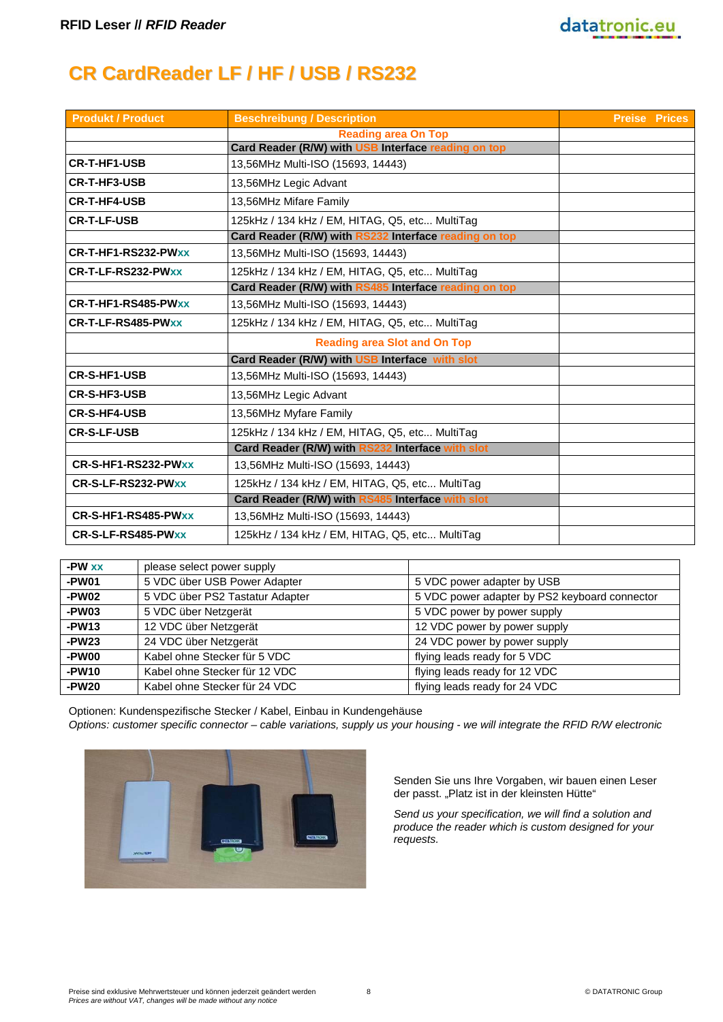

# **CR CardReader LF / HF / USB / RS232**

| <b>Produkt / Product</b> | <b>Beschreibung / Description</b>                     | <b>Preise Prices</b> |
|--------------------------|-------------------------------------------------------|----------------------|
|                          | <b>Reading area On Top</b>                            |                      |
|                          | Card Reader (R/W) with USB Interface reading on top   |                      |
| <b>CR-T-HF1-USB</b>      | 13,56MHz Multi-ISO (15693, 14443)                     |                      |
| <b>CR-T-HF3-USB</b>      | 13,56MHz Legic Advant                                 |                      |
| <b>CR-T-HF4-USB</b>      | 13,56MHz Mifare Family                                |                      |
| <b>CR-T-LF-USB</b>       | 125kHz / 134 kHz / EM, HITAG, Q5, etc MultiTag        |                      |
|                          | Card Reader (R/W) with RS232 Interface reading on top |                      |
| CR-T-HF1-RS232-PWxx      | 13,56MHz Multi-ISO (15693, 14443)                     |                      |
| CR-T-LF-RS232-PWxx       | 125kHz / 134 kHz / EM, HITAG, Q5, etc MultiTag        |                      |
|                          | Card Reader (R/W) with RS485 Interface reading on top |                      |
| CR-T-HF1-RS485-PWxx      | 13,56MHz Multi-ISO (15693, 14443)                     |                      |
| CR-T-LF-RS485-PWxx       | 125kHz / 134 kHz / EM, HITAG, Q5, etc MultiTag        |                      |
|                          | <b>Reading area Slot and On Top</b>                   |                      |
|                          | Card Reader (R/W) with USB Interface with slot        |                      |
| <b>CR-S-HF1-USB</b>      | 13,56MHz Multi-ISO (15693, 14443)                     |                      |
| <b>CR-S-HF3-USB</b>      | 13,56MHz Legic Advant                                 |                      |
| <b>CR-S-HF4-USB</b>      | 13,56MHz Myfare Family                                |                      |
| <b>CR-S-LF-USB</b>       | 125kHz / 134 kHz / EM, HITAG, Q5, etc MultiTag        |                      |
|                          | Card Reader (R/W) with RS232 Interface with slot      |                      |
| CR-S-HF1-RS232-PWxx      | 13,56MHz Multi-ISO (15693, 14443)                     |                      |
| CR-S-LF-RS232-PWxx       | 125kHz / 134 kHz / EM, HITAG, Q5, etc MultiTag        |                      |
|                          | Card Reader (R/W) with RS485 Interface with slot      |                      |
| CR-S-HF1-RS485-PWxx      | 13,56MHz Multi-ISO (15693, 14443)                     |                      |
| CR-S-LF-RS485-PWxx       | 125kHz / 134 kHz / EM, HITAG, Q5, etc MultiTag        |                      |

| -PW xx  | please select power supply      |                                               |
|---------|---------------------------------|-----------------------------------------------|
| -PW01   | 5 VDC über USB Power Adapter    | 5 VDC power adapter by USB                    |
| -PW02   | 5 VDC über PS2 Tastatur Adapter | 5 VDC power adapter by PS2 keyboard connector |
| -PW03   | 5 VDC über Netzgerät            | 5 VDC power by power supply                   |
| $-PW13$ | 12 VDC über Netzgerät           | 12 VDC power by power supply                  |
| $-PW23$ | 24 VDC über Netzgerät           | 24 VDC power by power supply                  |
| -PW00   | Kabel ohne Stecker für 5 VDC    | flying leads ready for 5 VDC                  |
| -PW10   | Kabel ohne Stecker für 12 VDC   | flying leads ready for 12 VDC                 |
| $-PW20$ | Kabel ohne Stecker für 24 VDC   | flying leads ready for 24 VDC                 |

Optionen: Kundenspezifische Stecker / Kabel, Einbau in Kundengehäuse *Options: customer specific connector – cable variations, supply us your housing - we will integrate the RFID R/W electronic*



Senden Sie uns Ihre Vorgaben, wir bauen einen Leser der passt. "Platz ist in der kleinsten Hütte"

*Send us your specification, we will find a solution and produce the reader which is custom designed for your requests.*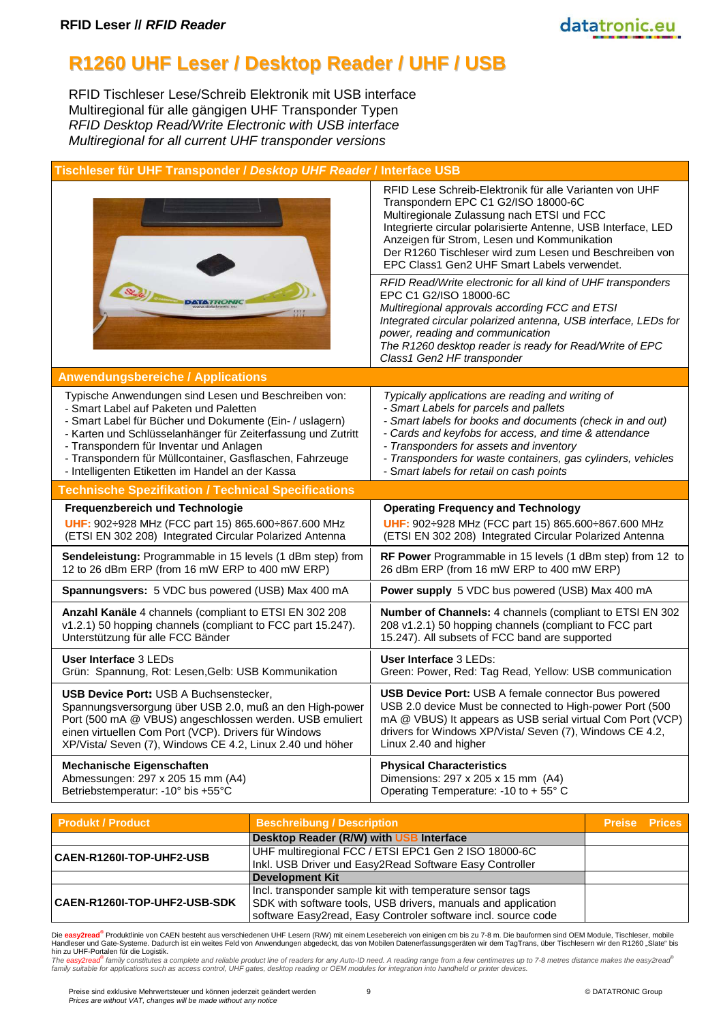#### **R1260 UHF Leser / Desktop Reader / UHF / USB**

RFID Tischleser Lese/Schreib Elektronik mit USB interface Multiregional für alle gängigen UHF Transponder Typen *RFID Desktop Read/Write Electronic with USB interface Multiregional for all current UHF transponder versions*

|  | Tischleser für UHF Transponder / Desktop UHF Reader / Interface USB |
|--|---------------------------------------------------------------------|
|  |                                                                     |

| <b>DATATHONI</b>                                             | RFID Lese Schreib-Elektronik für alle Varianten von UHF<br>Transpondern EPC C1 G2/ISO 18000-6C<br>Multiregionale Zulassung nach ETSI und FCC<br>Integrierte circular polarisierte Antenne, USB Interface, LED<br>Anzeigen für Strom, Lesen und Kommunikation<br>Der R1260 Tischleser wird zum Lesen und Beschreiben von<br>EPC Class1 Gen2 UHF Smart Labels verwendet.<br>RFID Read/Write electronic for all kind of UHF transponders<br>EPC C1 G2/ISO 18000-6C<br>Multiregional approvals according FCC and ETSI<br>Integrated circular polarized antenna, USB interface, LEDs for<br>power, reading and communication |
|--------------------------------------------------------------|-------------------------------------------------------------------------------------------------------------------------------------------------------------------------------------------------------------------------------------------------------------------------------------------------------------------------------------------------------------------------------------------------------------------------------------------------------------------------------------------------------------------------------------------------------------------------------------------------------------------------|
|                                                              | The R1260 desktop reader is ready for Read/Write of EPC<br>Class1 Gen2 HF transponder                                                                                                                                                                                                                                                                                                                                                                                                                                                                                                                                   |
| <b>Anwendungsbereiche / Applications</b>                     |                                                                                                                                                                                                                                                                                                                                                                                                                                                                                                                                                                                                                         |
| Typische Anwendungen sind Lesen und Beschreiben von:         | Typically applications are reading and writing of                                                                                                                                                                                                                                                                                                                                                                                                                                                                                                                                                                       |
| - Smart Label auf Paketen und Paletten                       | - Smart Labels for parcels and pallets                                                                                                                                                                                                                                                                                                                                                                                                                                                                                                                                                                                  |
| - Smart Label für Bücher und Dokumente (Ein- / uslagern)     | - Smart labels for books and documents (check in and out)                                                                                                                                                                                                                                                                                                                                                                                                                                                                                                                                                               |
| - Karten und Schlüsselanhänger für Zeiterfassung und Zutritt | - Cards and keyfobs for access, and time & attendance                                                                                                                                                                                                                                                                                                                                                                                                                                                                                                                                                                   |
| - Transpondern für Inventar und Anlagen                      | - Transponders for assets and inventory                                                                                                                                                                                                                                                                                                                                                                                                                                                                                                                                                                                 |
| - Transpondern für Müllcontainer, Gasflaschen, Fahrzeuge     | - Transponders for waste containers, gas cylinders, vehicles                                                                                                                                                                                                                                                                                                                                                                                                                                                                                                                                                            |
| - Intelligenten Etiketten im Handel an der Kassa             | - Smart labels for retail on cash points                                                                                                                                                                                                                                                                                                                                                                                                                                                                                                                                                                                |
| <b>Technische Spezifikation / Technical Specifications</b>   |                                                                                                                                                                                                                                                                                                                                                                                                                                                                                                                                                                                                                         |
|                                                              |                                                                                                                                                                                                                                                                                                                                                                                                                                                                                                                                                                                                                         |
| Frequenzbereich und Technologie                              | <b>Operating Frequency and Technology</b>                                                                                                                                                                                                                                                                                                                                                                                                                                                                                                                                                                               |
| UHF: 902: 928 MHz (FCC part 15) 865.600: 867.600 MHz         | UHF: 902: 928 MHz (FCC part 15) 865.600: 867.600 MHz                                                                                                                                                                                                                                                                                                                                                                                                                                                                                                                                                                    |
| (ETSI EN 302 208) Integrated Circular Polarized Antenna      | (ETSI EN 302 208) Integrated Circular Polarized Antenna                                                                                                                                                                                                                                                                                                                                                                                                                                                                                                                                                                 |
| Sendeleistung: Programmable in 15 levels (1 dBm step) from   | RF Power Programmable in 15 levels (1 dBm step) from 12 to                                                                                                                                                                                                                                                                                                                                                                                                                                                                                                                                                              |
| 12 to 26 dBm ERP (from 16 mW ERP to 400 mW ERP)              | 26 dBm ERP (from 16 mW ERP to 400 mW ERP)                                                                                                                                                                                                                                                                                                                                                                                                                                                                                                                                                                               |
| Spannungsvers: 5 VDC bus powered (USB) Max 400 mA            | Power supply 5 VDC bus powered (USB) Max 400 mA                                                                                                                                                                                                                                                                                                                                                                                                                                                                                                                                                                         |
| Anzahl Kanäle 4 channels (compliant to ETSI EN 302 208       | Number of Channels: 4 channels (compliant to ETSI EN 302                                                                                                                                                                                                                                                                                                                                                                                                                                                                                                                                                                |
| v1.2.1) 50 hopping channels (compliant to FCC part 15.247).  | 208 v1.2.1) 50 hopping channels (compliant to FCC part                                                                                                                                                                                                                                                                                                                                                                                                                                                                                                                                                                  |
| Unterstützung für alle FCC Bänder                            | 15.247). All subsets of FCC band are supported                                                                                                                                                                                                                                                                                                                                                                                                                                                                                                                                                                          |
| User Interface 3 LEDs                                        | User Interface 3 LEDs:                                                                                                                                                                                                                                                                                                                                                                                                                                                                                                                                                                                                  |
| Grün: Spannung, Rot: Lesen, Gelb: USB Kommunikation          | Green: Power, Red: Tag Read, Yellow: USB communication                                                                                                                                                                                                                                                                                                                                                                                                                                                                                                                                                                  |
| <b>USB Device Port: USB A Buchsenstecker,</b>                | USB Device Port: USB A female connector Bus powered                                                                                                                                                                                                                                                                                                                                                                                                                                                                                                                                                                     |
| Spannungsversorgung über USB 2.0, muß an den High-power      | USB 2.0 device Must be connected to High-power Port (500                                                                                                                                                                                                                                                                                                                                                                                                                                                                                                                                                                |
| Port (500 mA @ VBUS) angeschlossen werden. USB emuliert      | mA @ VBUS) It appears as USB serial virtual Com Port (VCP)                                                                                                                                                                                                                                                                                                                                                                                                                                                                                                                                                              |
| einen virtuellen Com Port (VCP). Drivers für Windows         | drivers for Windows XP/Vista/ Seven (7), Windows CE 4.2,                                                                                                                                                                                                                                                                                                                                                                                                                                                                                                                                                                |
| XP/Vista/ Seven (7), Windows CE 4.2, Linux 2.40 und höher    | Linux 2.40 and higher                                                                                                                                                                                                                                                                                                                                                                                                                                                                                                                                                                                                   |

| <b>Produkt / Product</b>            | <b>Beschreibung / Description</b>                                                                                                                                                           | <b>Preise Prices</b> |  |
|-------------------------------------|---------------------------------------------------------------------------------------------------------------------------------------------------------------------------------------------|----------------------|--|
|                                     | Desktop Reader (R/W) with USB Interface                                                                                                                                                     |                      |  |
| <b>CAEN-R1260I-TOP-UHF2-USB</b>     | UHF multiregional FCC / ETSI EPC1 Gen 2 ISO 18000-6C<br>Inkl. USB Driver und Easy2Read Software Easy Controller                                                                             |                      |  |
|                                     | <b>Development Kit</b>                                                                                                                                                                      |                      |  |
| <b>CAEN-R1260I-TOP-UHF2-USB-SDK</b> | Incl. transponder sample kit with temperature sensor tags<br>SDK with software tools, USB drivers, manuals and application<br>software Easy2read, Easy Controler software incl. source code |                      |  |

Die **easy2read®** Die <mark>easy2read</mark>° Produktlinie von CAEN besteht aus verschiedenen UHF Lesern (R/W) mit einem Lesebereich von einigen cm bis zu 7-8 m. Die bauformen sind OEM Module, Tischleser, mobile<br>Handleser und Gate-Systeme. Dadurch ist

*The easy2read*

Preise sind exklusive Mehrwertsteuer und können jederzeit geändert werden 9 © DATATRONIC Group *Prices are without VAT, changes will be made without any notice*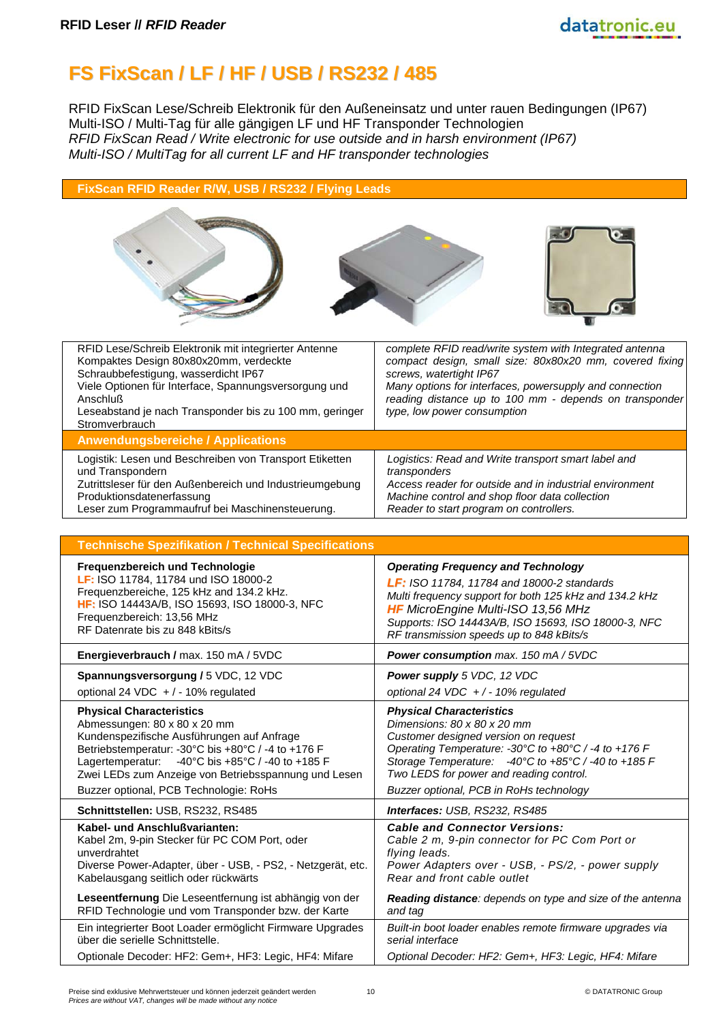# **FS FixScan / LF / HF / USB / RS232 / 485**

RFID FixScan Lese/Schreib Elektronik für den Außeneinsatz und unter rauen Bedingungen (IP67) Multi-ISO / Multi-Tag für alle gängigen LF und HF Transponder Technologien *RFID FixScan Read / Write electronic for use outside and in harsh environment (IP67) Multi-ISO / MultiTag for all current LF and HF transponder technologies*

#### **FixScan RFID Reader R/W, USB / RS232 / Flying Leads**







| RFID Lese/Schreib Elektronik mit integrierter Antenne<br>Kompaktes Design 80x80x20mm, verdeckte<br>Schraubbefestigung, wasserdicht IP67<br>Viele Optionen für Interface, Spannungsversorgung und<br>Anschluß<br>Leseabstand je nach Transponder bis zu 100 mm, geringer<br>Stromverbrauch | complete RFID read/write system with Integrated antenna<br>compact design, small size: 80x80x20 mm, covered fixing<br>screws, watertight IP67<br>Many options for interfaces, powersupply and connection<br>reading distance up to 100 mm - depends on transponder<br>type, low power consumption |
|-------------------------------------------------------------------------------------------------------------------------------------------------------------------------------------------------------------------------------------------------------------------------------------------|---------------------------------------------------------------------------------------------------------------------------------------------------------------------------------------------------------------------------------------------------------------------------------------------------|
| <b>Anwendungsbereiche / Applications</b>                                                                                                                                                                                                                                                  |                                                                                                                                                                                                                                                                                                   |
| Logistik: Lesen und Beschreiben von Transport Etiketten<br>und Transpondern<br>Zutrittsleser für den Außenbereich und Industrieumgebung<br>Produktionsdatenerfassung<br>Leser zum Programmaufruf bei Maschinensteuerung.                                                                  | Logistics: Read and Write transport smart label and<br>transponders<br>Access reader for outside and in industrial environment<br>Machine control and shop floor data collection<br>Reader to start program on controllers.                                                                       |

| <b>Technische Spezifikation / Technical Specifications</b>                                                                                                                                                                                                                                                                   |                                                                                                                                                                                                                                                                                                             |
|------------------------------------------------------------------------------------------------------------------------------------------------------------------------------------------------------------------------------------------------------------------------------------------------------------------------------|-------------------------------------------------------------------------------------------------------------------------------------------------------------------------------------------------------------------------------------------------------------------------------------------------------------|
| Frequenzbereich und Technologie                                                                                                                                                                                                                                                                                              | <b>Operating Frequency and Technology</b>                                                                                                                                                                                                                                                                   |
| LF: ISO 11784, 11784 und ISO 18000-2                                                                                                                                                                                                                                                                                         | <b>LF:</b> ISO 11784, 11784 and 18000-2 standards                                                                                                                                                                                                                                                           |
| Frequenzbereiche, 125 kHz and 134.2 kHz.                                                                                                                                                                                                                                                                                     | Multi frequency support for both 125 kHz and 134.2 kHz                                                                                                                                                                                                                                                      |
| HF: ISO 14443A/B, ISO 15693, ISO 18000-3, NFC                                                                                                                                                                                                                                                                                | <b>HF</b> MicroEngine Multi-ISO 13,56 MHz                                                                                                                                                                                                                                                                   |
| Frequenzbereich: 13,56 MHz                                                                                                                                                                                                                                                                                                   | Supports: ISO 14443A/B, ISO 15693, ISO 18000-3, NFC                                                                                                                                                                                                                                                         |
| RF Datenrate bis zu 848 kBits/s                                                                                                                                                                                                                                                                                              | RF transmission speeds up to 848 kBits/s                                                                                                                                                                                                                                                                    |
| Energieverbrauch / max. 150 mA / 5VDC                                                                                                                                                                                                                                                                                        | Power consumption max. 150 mA / 5VDC                                                                                                                                                                                                                                                                        |
| Spannungsversorgung / 5 VDC, 12 VDC                                                                                                                                                                                                                                                                                          | Power supply 5 VDC, 12 VDC                                                                                                                                                                                                                                                                                  |
| optional 24 VDC $+/-10\%$ regulated                                                                                                                                                                                                                                                                                          | optional 24 VDC $+/-10\%$ regulated                                                                                                                                                                                                                                                                         |
| <b>Physical Characteristics</b><br>Abmessungen: 80 x 80 x 20 mm<br>Kundenspezifische Ausführungen auf Anfrage<br>Betriebstemperatur: -30°C bis +80°C / -4 to +176 F<br>-40°C bis +85°C / -40 to +185 F<br>Lagertemperatur:<br>Zwei LEDs zum Anzeige von Betriebsspannung und Lesen<br>Buzzer optional, PCB Technologie: RoHs | <b>Physical Characteristics</b><br>Dimensions: 80 x 80 x 20 mm<br>Customer designed version on request<br>Operating Temperature: -30°C to +80°C / -4 to +176 F<br>Storage Temperature: -40°C to +85°C / -40 to +185 F<br>Two LEDS for power and reading control.<br>Buzzer optional, PCB in RoHs technology |
| Schnittstellen: USB, RS232, RS485                                                                                                                                                                                                                                                                                            | Interfaces: USB, RS232, RS485                                                                                                                                                                                                                                                                               |
| Kabel- und Anschlußvarianten:                                                                                                                                                                                                                                                                                                | <b>Cable and Connector Versions:</b>                                                                                                                                                                                                                                                                        |
| Kabel 2m, 9-pin Stecker für PC COM Port, oder                                                                                                                                                                                                                                                                                | Cable 2 m, 9-pin connector for PC Com Port or                                                                                                                                                                                                                                                               |
| unverdrahtet                                                                                                                                                                                                                                                                                                                 | flying leads.                                                                                                                                                                                                                                                                                               |
| Diverse Power-Adapter, über - USB, - PS2, - Netzgerät, etc.                                                                                                                                                                                                                                                                  | Power Adapters over - USB, - PS/2, - power supply                                                                                                                                                                                                                                                           |
| Kabelausgang seitlich oder rückwärts                                                                                                                                                                                                                                                                                         | Rear and front cable outlet                                                                                                                                                                                                                                                                                 |
| Leseentfernung Die Leseentfernung ist abhängig von der                                                                                                                                                                                                                                                                       | Reading distance: depends on type and size of the antenna                                                                                                                                                                                                                                                   |
| RFID Technologie und vom Transponder bzw. der Karte                                                                                                                                                                                                                                                                          | and tag                                                                                                                                                                                                                                                                                                     |
| Ein integrierter Boot Loader ermöglicht Firmware Upgrades                                                                                                                                                                                                                                                                    | Built-in boot loader enables remote firmware upgrades via                                                                                                                                                                                                                                                   |
| über die serielle Schnittstelle.                                                                                                                                                                                                                                                                                             | serial interface                                                                                                                                                                                                                                                                                            |
| Optionale Decoder: HF2: Gem+, HF3: Legic, HF4: Mifare                                                                                                                                                                                                                                                                        | Optional Decoder: HF2: Gem+, HF3: Legic, HF4: Mifare                                                                                                                                                                                                                                                        |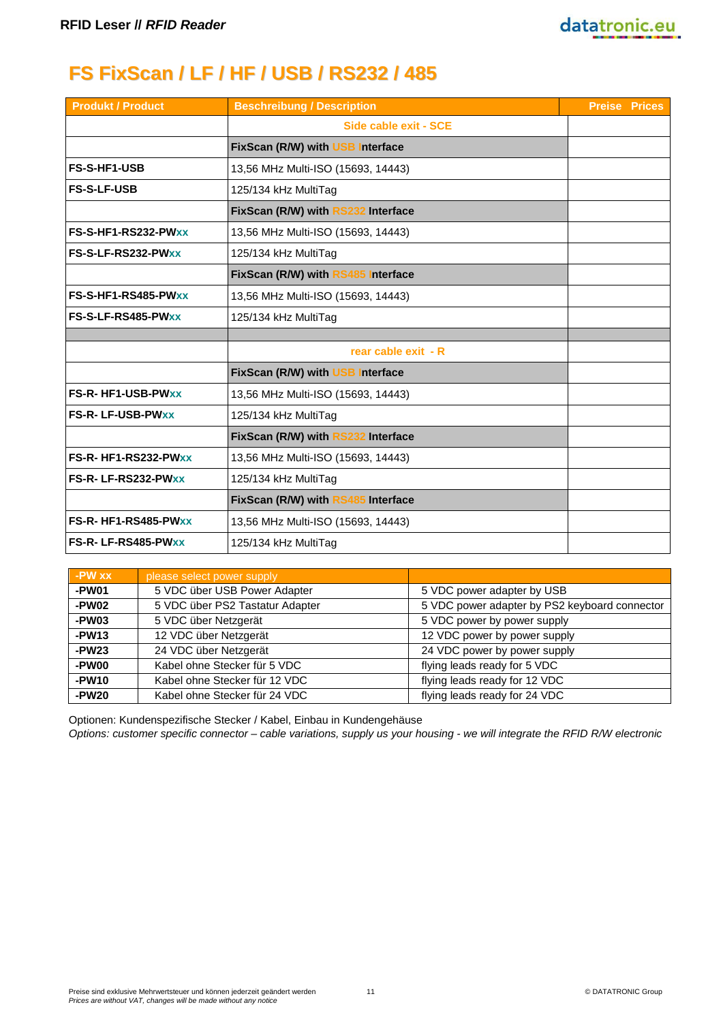# **FS FixScan / LF / HF / USB / RS232 / 485**

| <b>Produkt / Product</b> | <b>Beschreibung / Description</b>  | <b>Preise Prices</b> |
|--------------------------|------------------------------------|----------------------|
|                          | Side cable exit - SCE              |                      |
|                          | FixScan (R/W) with USB Interface   |                      |
| <b>FS-S-HF1-USB</b>      | 13,56 MHz Multi-ISO (15693, 14443) |                      |
| <b>FS-S-LF-USB</b>       | 125/134 kHz MultiTag               |                      |
|                          | FixScan (R/W) with RS232 Interface |                      |
| FS-S-HF1-RS232-PWxx      | 13,56 MHz Multi-ISO (15693, 14443) |                      |
| FS-S-LF-RS232-PWxx       | 125/134 kHz MultiTag               |                      |
|                          | FixScan (R/W) with RS485 Interface |                      |
| FS-S-HF1-RS485-PWxx      | 13,56 MHz Multi-ISO (15693, 14443) |                      |
| FS-S-LF-RS485-PWxx       | 125/134 kHz MultiTag               |                      |
|                          |                                    |                      |
|                          | rear cable exit - R                |                      |
|                          | FixScan (R/W) with USB Interface   |                      |
| <b>FS-R-HF1-USB-PWxx</b> | 13,56 MHz Multi-ISO (15693, 14443) |                      |
| <b>FS-R-LF-USB-PWxx</b>  | 125/134 kHz MultiTag               |                      |
|                          | FixScan (R/W) with RS232 Interface |                      |
| FS-R-HF1-RS232-PWxx      | 13,56 MHz Multi-ISO (15693, 14443) |                      |
| FS-R-LF-RS232-PWxx       | 125/134 kHz MultiTag               |                      |
|                          | FixScan (R/W) with RS485 Interface |                      |
| FS-R-HF1-RS485-PWxx      | 13,56 MHz Multi-ISO (15693, 14443) |                      |
| FS-R-LF-RS485-PWxx       | 125/134 kHz MultiTag               |                      |

| -PW xx  | please select power supply      |                                               |
|---------|---------------------------------|-----------------------------------------------|
| -PW01   | 5 VDC über USB Power Adapter    | 5 VDC power adapter by USB                    |
| -PW02   | 5 VDC über PS2 Tastatur Adapter | 5 VDC power adapter by PS2 keyboard connector |
| -PW03   | 5 VDC über Netzgerät            | 5 VDC power by power supply                   |
| $-PW13$ | 12 VDC über Netzgerät           | 12 VDC power by power supply                  |
| $-PW23$ | 24 VDC über Netzgerät           | 24 VDC power by power supply                  |
| -PW00   | Kabel ohne Stecker für 5 VDC    | flying leads ready for 5 VDC                  |
| -PW10   | Kabel ohne Stecker für 12 VDC   | flying leads ready for 12 VDC                 |
| $-PW20$ | Kabel ohne Stecker für 24 VDC   | flying leads ready for 24 VDC                 |

Optionen: Kundenspezifische Stecker / Kabel, Einbau in Kundengehäuse

*Options: customer specific connector – cable variations, supply us your housing - we will integrate the RFID R/W electronic*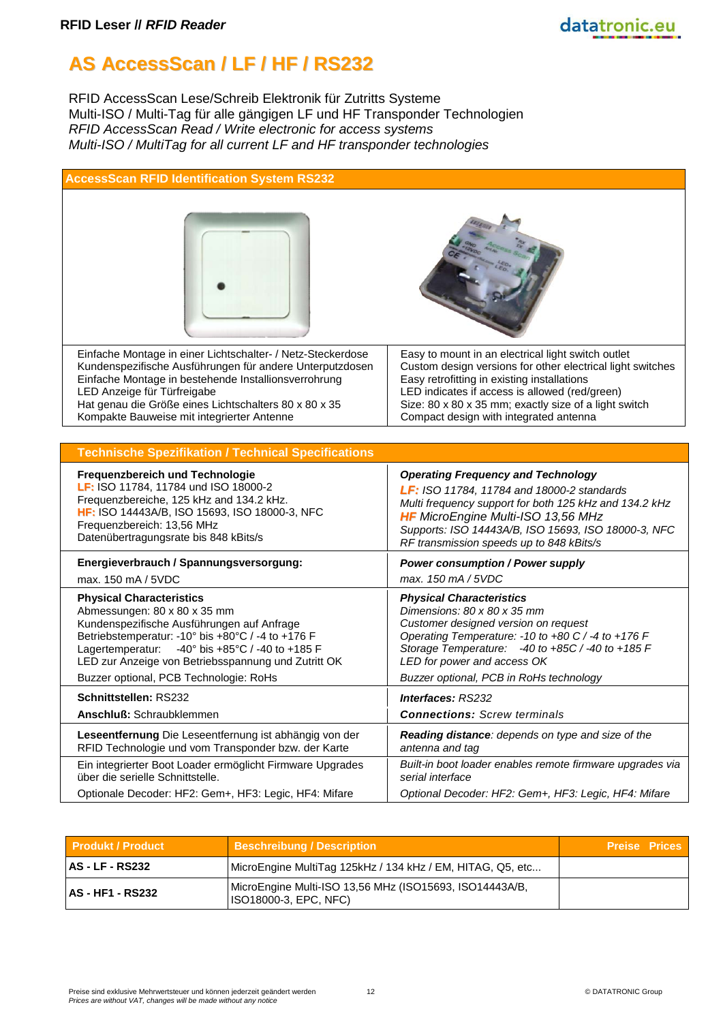# **AS AccessScan / LF / HF / RS232**

RFID AccessScan Lese/Schreib Elektronik für Zutritts Systeme Multi-ISO / Multi-Tag für alle gängigen LF und HF Transponder Technologien *RFID AccessScan Read / Write electronic for access systems Multi-ISO / MultiTag for all current LF and HF transponder technologies*

| <b>AccessScan RFID Identification System RS232</b>                                                                                                                                                                                                                                                                         |                                                                                                                                                                                                                                                                                                                      |
|----------------------------------------------------------------------------------------------------------------------------------------------------------------------------------------------------------------------------------------------------------------------------------------------------------------------------|----------------------------------------------------------------------------------------------------------------------------------------------------------------------------------------------------------------------------------------------------------------------------------------------------------------------|
|                                                                                                                                                                                                                                                                                                                            |                                                                                                                                                                                                                                                                                                                      |
| Einfache Montage in einer Lichtschalter- / Netz-Steckerdose<br>Kundenspezifische Ausführungen für andere Unterputzdosen<br>Einfache Montage in bestehende Installionsverrohrung<br>LED Anzeige für Türfreigabe<br>Hat genau die Größe eines Lichtschalters 80 x 80 x 35<br>Kompakte Bauweise mit integrierter Antenne      | Easy to mount in an electrical light switch outlet<br>Custom design versions for other electrical light switches<br>Easy retrofitting in existing installations<br>LED indicates if access is allowed (red/green)<br>Size: 80 x 80 x 35 mm; exactly size of a light switch<br>Compact design with integrated antenna |
|                                                                                                                                                                                                                                                                                                                            |                                                                                                                                                                                                                                                                                                                      |
| <b>Technische Spezifikation / Technical Specifications</b>                                                                                                                                                                                                                                                                 |                                                                                                                                                                                                                                                                                                                      |
| Frequenzbereich und Technologie<br>LF: ISO 11784, 11784 und ISO 18000-2<br>Frequenzbereiche, 125 kHz and 134.2 kHz.<br><b>HF:</b> ISO 14443A/B, ISO 15693, ISO 18000-3, NFC<br>Frequenzbereich: 13,56 MHz<br>Datenübertragungsrate bis 848 kBits/s                                                                         | <b>Operating Frequency and Technology</b><br>LF: ISO 11784, 11784 and 18000-2 standards<br>Multi frequency support for both 125 kHz and 134.2 kHz<br><b>HF</b> MicroEngine Multi-ISO 13,56 MHz<br>Supports: ISO 14443A/B, ISO 15693, ISO 18000-3, NFC<br>RF transmission speeds up to 848 kBits/s                    |
| Energieverbrauch / Spannungsversorgung:<br>max. 150 mA / 5VDC                                                                                                                                                                                                                                                              | <b>Power consumption / Power supply</b><br>max. 150 mA / 5VDC                                                                                                                                                                                                                                                        |
| <b>Physical Characteristics</b><br>Abmessungen: 80 x 80 x 35 mm<br>Kundenspezifische Ausführungen auf Anfrage<br>Betriebstemperatur: - 10° bis +80°C / -4 to +176 F<br>-40° bis +85°C / -40 to +185 F<br>Lagertemperatur:<br>LED zur Anzeige von Betriebsspannung und Zutritt OK<br>Buzzer optional, PCB Technologie: RoHs | <b>Physical Characteristics</b><br>Dimensions: 80 x 80 x 35 mm<br>Customer designed version on request<br>Operating Temperature: -10 to +80 C / -4 to +176 F<br>Storage Temperature: -40 to +85C / -40 to +185 F<br>LED for power and access OK<br>Buzzer optional, PCB in RoHs technology                           |
| Schnittstellen: RS232                                                                                                                                                                                                                                                                                                      | <b>Interfaces: RS232</b>                                                                                                                                                                                                                                                                                             |
| Anschluß: Schraubklemmen                                                                                                                                                                                                                                                                                                   | <b>Connections: Screw terminals</b>                                                                                                                                                                                                                                                                                  |
| Leseentfernung Die Leseentfernung ist abhängig von der<br>RFID Technologie und vom Transponder bzw. der Karte                                                                                                                                                                                                              | Reading distance: depends on type and size of the<br>antenna and tag                                                                                                                                                                                                                                                 |
| Ein integrierter Boot Loader ermöglicht Firmware Upgrades<br>über die serielle Schnittstelle.                                                                                                                                                                                                                              | Built-in boot loader enables remote firmware upgrades via<br>serial interface                                                                                                                                                                                                                                        |
| Optionale Decoder: HF2: Gem+, HF3: Legic, HF4: Mifare                                                                                                                                                                                                                                                                      | Optional Decoder: HF2: Gem+, HF3: Legic, HF4: Mifare                                                                                                                                                                                                                                                                 |

| <b>Produkt / Product</b> | <b>Beschreibung / Description</b>                                                | <b>Preise Prices</b> |  |
|--------------------------|----------------------------------------------------------------------------------|----------------------|--|
| <b>AS - LF - RS232</b>   | MicroEngine MultiTag 125kHz / 134 kHz / EM, HITAG, Q5, etc                       |                      |  |
| <b>AS - HF1 - RS232</b>  | MicroEngine Multi-ISO 13,56 MHz (ISO15693, ISO14443A/B,<br>ISO18000-3, EPC, NFC) |                      |  |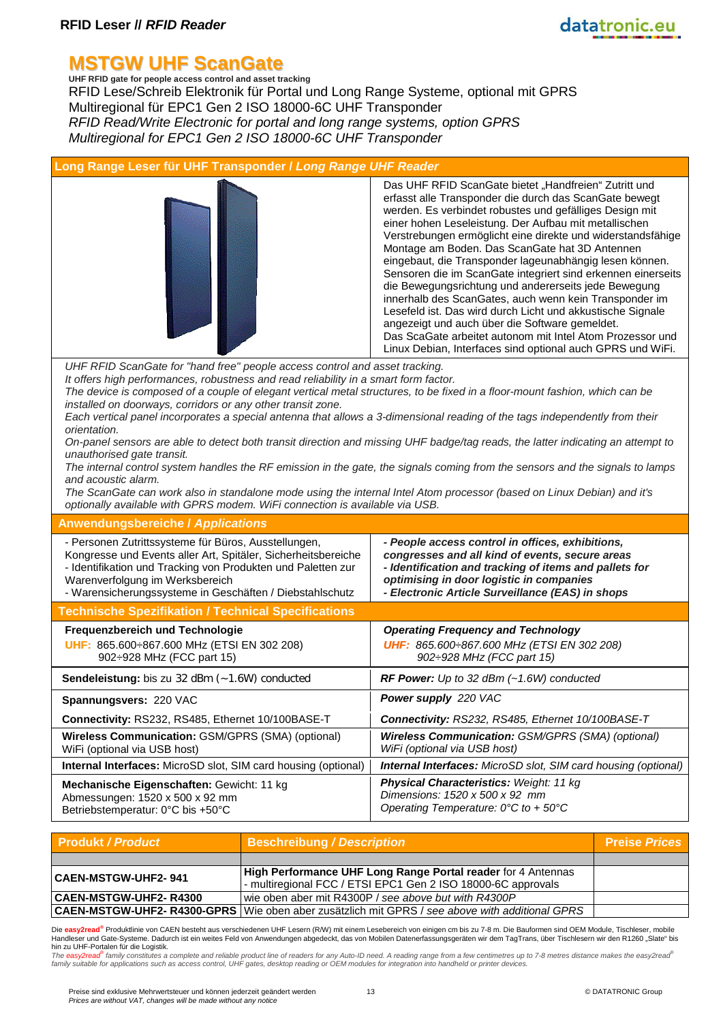# **MSTGW UHF ScanGate UHF RFID gate for people access control and asset tracking**

RFID Lese/Schreib Elektronik für Portal und Long Range Systeme, optional mit GPRS Multiregional für EPC1 Gen 2 ISO 18000-6C UHF Transponder *RFID Read/Write Electronic for portal and long range systems, option GPRS Multiregional for EPC1 Gen 2 ISO 18000-6C UHF Transponder*

| Long Range Leser für UHF Transponder / Long Range UHF Reader                                                                                                                                                                                                                                                                                                                                                                                                                                                                                                                                                                                                                                                                                                                   |                                                                                                                                                                                                                                                                                                                                                                                                                                                                                                                                                                                                                                                                                                                                                                                                                                              |  |
|--------------------------------------------------------------------------------------------------------------------------------------------------------------------------------------------------------------------------------------------------------------------------------------------------------------------------------------------------------------------------------------------------------------------------------------------------------------------------------------------------------------------------------------------------------------------------------------------------------------------------------------------------------------------------------------------------------------------------------------------------------------------------------|----------------------------------------------------------------------------------------------------------------------------------------------------------------------------------------------------------------------------------------------------------------------------------------------------------------------------------------------------------------------------------------------------------------------------------------------------------------------------------------------------------------------------------------------------------------------------------------------------------------------------------------------------------------------------------------------------------------------------------------------------------------------------------------------------------------------------------------------|--|
|                                                                                                                                                                                                                                                                                                                                                                                                                                                                                                                                                                                                                                                                                                                                                                                | Das UHF RFID ScanGate bietet "Handfreien" Zutritt und<br>erfasst alle Transponder die durch das ScanGate bewegt<br>werden. Es verbindet robustes und gefälliges Design mit<br>einer hohen Leseleistung. Der Aufbau mit metallischen<br>Verstrebungen ermöglicht eine direkte und widerstandsfähige<br>Montage am Boden. Das ScanGate hat 3D Antennen<br>eingebaut, die Transponder lageunabhängig lesen können.<br>Sensoren die im ScanGate integriert sind erkennen einerseits<br>die Bewegungsrichtung und andererseits jede Bewegung<br>innerhalb des ScanGates, auch wenn kein Transponder im<br>Lesefeld ist. Das wird durch Licht und akkustische Signale<br>angezeigt und auch über die Software gemeldet.<br>Das ScaGate arbeitet autonom mit Intel Atom Prozessor und<br>Linux Debian, Interfaces sind optional auch GPRS und WiFi. |  |
| UHF RFID ScanGate for "hand free" people access control and asset tracking.<br>It offers high performances, robustness and read reliability in a smart form factor.<br>The device is composed of a couple of elegant vertical metal structures, to be fixed in a floor-mount fashion, which can be<br>installed on doorways, corridors or any other transit zone.<br>Each vertical panel incorporates a special antenna that allows a 3-dimensional reading of the tags independently from their<br>orientation.<br>unauthorised gate transit.<br>and acoustic alarm.<br>The ScanGate can work also in standalone mode using the internal Intel Atom processor (based on Linux Debian) and it's<br>optionally available with GPRS modem. WiFi connection is available via USB. | On-panel sensors are able to detect both transit direction and missing UHF badge/tag reads, the latter indicating an attempt to<br>The internal control system handles the RF emission in the gate, the signals coming from the sensors and the signals to lamps                                                                                                                                                                                                                                                                                                                                                                                                                                                                                                                                                                             |  |
| <b>Anwendungsbereiche / Applications</b>                                                                                                                                                                                                                                                                                                                                                                                                                                                                                                                                                                                                                                                                                                                                       |                                                                                                                                                                                                                                                                                                                                                                                                                                                                                                                                                                                                                                                                                                                                                                                                                                              |  |
| - Personen Zutrittssysteme für Büros, Ausstellungen,<br>Kongresse und Events aller Art, Spitäler, Sicherheitsbereiche<br>- Identifikation und Tracking von Produkten und Paletten zur<br>Warenverfolgung im Werksbereich<br>- Warensicherungssysteme in Geschäften / Diebstahlschutz                                                                                                                                                                                                                                                                                                                                                                                                                                                                                           | - People access control in offices, exhibitions,<br>congresses and all kind of events, secure areas<br>- Identification and tracking of items and pallets for<br>optimising in door logistic in companies<br>- Electronic Article Surveillance (EAS) in shops                                                                                                                                                                                                                                                                                                                                                                                                                                                                                                                                                                                |  |
| <b>Technische Spezifikation / Technical Specifications</b>                                                                                                                                                                                                                                                                                                                                                                                                                                                                                                                                                                                                                                                                                                                     |                                                                                                                                                                                                                                                                                                                                                                                                                                                                                                                                                                                                                                                                                                                                                                                                                                              |  |
| Frequenzbereich und Technologie<br>UHF: 865.600÷867.600 MHz (ETSI EN 302 208)<br>902÷928 MHz (FCC part 15)                                                                                                                                                                                                                                                                                                                                                                                                                                                                                                                                                                                                                                                                     | <b>Operating Frequency and Technology</b><br>UHF: 865.600÷867.600 MHz (ETSI EN 302 208)<br>902: 928 MHz (FCC part 15)                                                                                                                                                                                                                                                                                                                                                                                                                                                                                                                                                                                                                                                                                                                        |  |
| Sendeleistung: bis zu 32 dBm (~1.6W) conducted                                                                                                                                                                                                                                                                                                                                                                                                                                                                                                                                                                                                                                                                                                                                 | RF Power: Up to 32 dBm (~1.6W) conducted                                                                                                                                                                                                                                                                                                                                                                                                                                                                                                                                                                                                                                                                                                                                                                                                     |  |
| Spannungsvers: 220 VAC                                                                                                                                                                                                                                                                                                                                                                                                                                                                                                                                                                                                                                                                                                                                                         | Power supply 220 VAC                                                                                                                                                                                                                                                                                                                                                                                                                                                                                                                                                                                                                                                                                                                                                                                                                         |  |
| Connectivity: RS232, RS485, Ethernet 10/100BASE-T                                                                                                                                                                                                                                                                                                                                                                                                                                                                                                                                                                                                                                                                                                                              | Connectivity: RS232, RS485, Ethernet 10/100BASE-T                                                                                                                                                                                                                                                                                                                                                                                                                                                                                                                                                                                                                                                                                                                                                                                            |  |
| Wireless Communication: GSM/GPRS (SMA) (optional)<br>WiFi (optional via USB host)                                                                                                                                                                                                                                                                                                                                                                                                                                                                                                                                                                                                                                                                                              | <b>Wireless Communication: GSM/GPRS (SMA) (optional)</b><br>WiFi (optional via USB host)                                                                                                                                                                                                                                                                                                                                                                                                                                                                                                                                                                                                                                                                                                                                                     |  |
| Internal Interfaces: MicroSD slot, SIM card housing (optional)                                                                                                                                                                                                                                                                                                                                                                                                                                                                                                                                                                                                                                                                                                                 | <b>Internal Interfaces:</b> MicroSD slot, SIM card housing (optional)                                                                                                                                                                                                                                                                                                                                                                                                                                                                                                                                                                                                                                                                                                                                                                        |  |
| Mechanische Eigenschaften: Gewicht: 11 kg<br>Abmessungen: 1520 x 500 x 92 mm<br>Betriebstemperatur: 0°C bis +50°C                                                                                                                                                                                                                                                                                                                                                                                                                                                                                                                                                                                                                                                              | <b>Physical Characteristics: Weight: 11 kg</b><br>Dimensions: 1520 x 500 x 92 mm<br>Operating Temperature: $0^{\circ}$ C to + 50 $^{\circ}$ C                                                                                                                                                                                                                                                                                                                                                                                                                                                                                                                                                                                                                                                                                                |  |
|                                                                                                                                                                                                                                                                                                                                                                                                                                                                                                                                                                                                                                                                                                                                                                                |                                                                                                                                                                                                                                                                                                                                                                                                                                                                                                                                                                                                                                                                                                                                                                                                                                              |  |

| <b>Produkt / Product</b>      | <b>Beschreibung / Description</b>                                                                       | <b>Preise Prices</b> |
|-------------------------------|---------------------------------------------------------------------------------------------------------|----------------------|
|                               |                                                                                                         |                      |
| <b>CAEN-MSTGW-UHF2- 941</b>   | <b>High Performance UHF Long Range Portal reader for 4 Antennas</b>                                     |                      |
|                               | - multiregional FCC / ETSI EPC1 Gen 2 ISO 18000-6C approvals                                            |                      |
| <b>CAEN-MSTGW-UHF2- R4300</b> | wie oben aber mit R4300P / see above but with R4300P                                                    |                      |
|                               | <b>CAEN-MSTGW-UHF2- R4300-GPRS</b>   Wie oben aber zusätzlich mit GPRS / see above with additional GPRS |                      |

Die <mark>easy2read<sup>®</sup> Produktlinie von CAEN besteht aus verschiedenen UHF Lesern (R/W) mit einem Lesebereich von einigen cm bis zu 7-8 m. Die Bauformen sind OEM Module, Tischleser, mobile<br>Handleser und Gate-Systeme. Dadurch is</mark>

hin zu UHF-Portalen für die Logistik.<br>The easy2read<sup>ser</sup>tamily constitutes a complete and reliable product line of readers for any Auto-ID need. A reading range from a few centimetres up to 7-8 metres distance makes the ea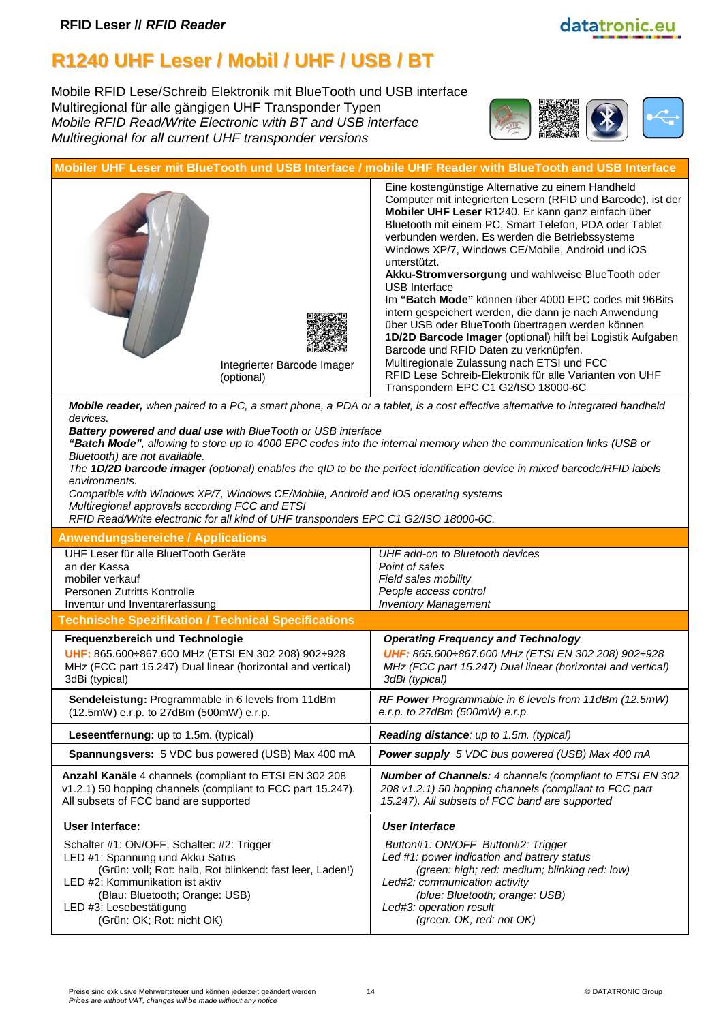#### **R1240 UHF Leser / Mobil / UHF / USB / BT**

Mobile RFID Lese/Schreib Elektronik mit BlueTooth und USB interface Multiregional für alle gängigen UHF Transponder Typen *Mobile RFID Read/Write Electronic with BT and USB interface Multiregional for all current UHF transponder versions*





*Battery powered and dual use with BlueTooth or USB interface*

*"Batch Mode", allowing to store up to 4000 EPC codes into the internal memory when the communication links (USB or Bluetooth) are not available.*

*The 1D/2D barcode imager (optional) enables the qID to be the perfect identification device in mixed barcode/RFID labels environments.*

*Compatible with Windows XP/7, Windows CE/Mobile, Android and iOS operating systems Multiregional approvals according FCC and ETSI*

*RFID Read/Write electronic for all kind of UHF transponders EPC C1 G2/ISO 18000-6C.*

| <b>Anwendungsbereiche / Applications</b>                    |                                                                 |
|-------------------------------------------------------------|-----------------------------------------------------------------|
| UHF Leser für alle BluetTooth Geräte                        | UHF add-on to Bluetooth devices                                 |
| an der Kassa                                                | Point of sales                                                  |
| mobiler verkauf                                             | Field sales mobility                                            |
| Personen Zutritts Kontrolle                                 | People access control                                           |
| Inventur und Inventarerfassung                              | <b>Inventory Management</b>                                     |
| <b>Technische Spezifikation / Technical Specifications</b>  |                                                                 |
| Frequenzbereich und Technologie                             | <b>Operating Frequency and Technology</b>                       |
| UHF: 865.600÷867.600 MHz (ETSI EN 302 208) 902÷928          | UHF: 865.600: 867.600 MHz (ETSI EN 302 208) 902: 928            |
| MHz (FCC part 15.247) Dual linear (horizontal and vertical) | MHz (FCC part 15.247) Dual linear (horizontal and vertical)     |
| 3dBi (typical)                                              | 3dBi (typical)                                                  |
| Sendeleistung: Programmable in 6 levels from 11dBm          | RF Power Programmable in 6 levels from 11dBm (12.5mW)           |
| (12.5mW) e.r.p. to 27dBm (500mW) e.r.p.                     | e.r.p. to $27$ dBm (500mW) e.r.p.                               |
| Leseentfernung: up to 1.5m. (typical)                       | Reading distance: up to 1.5m. (typical)                         |
| <b>Spannungsvers:</b> 5 VDC bus powered (USB) Max 400 mA    | Power supply 5 VDC bus powered (USB) Max 400 mA                 |
| Anzahl Kanäle 4 channels (compliant to ETSI EN 302 208      | <b>Number of Channels: 4 channels (compliant to ETSI EN 302</b> |
| v1.2.1) 50 hopping channels (compliant to FCC part 15.247). | 208 v1.2.1) 50 hopping channels (compliant to FCC part          |
| All subsets of FCC band are supported                       | 15.247). All subsets of FCC band are supported                  |
| User Interface:                                             | <b>User Interface</b>                                           |
| Schalter #1: ON/OFF, Schalter: #2: Trigger                  | Button#1: ON/OFF Button#2: Trigger                              |
| LED #1: Spannung und Akku Satus                             | Led #1: power indication and battery status                     |
| (Grün: voll; Rot: halb, Rot blinkend: fast leer, Laden!)    | (green: high; red: medium; blinking red: low)                   |
| LED #2: Kommunikation ist aktiv                             | Led#2: communication activity                                   |
| (Blau: Bluetooth; Orange: USB)                              | (blue: Bluetooth; orange: USB)                                  |
| LED #3: Lesebestätigung                                     | Led#3: operation result                                         |
| (Grün: OK: Rot: nicht OK)                                   | (green: OK; red: not OK)                                        |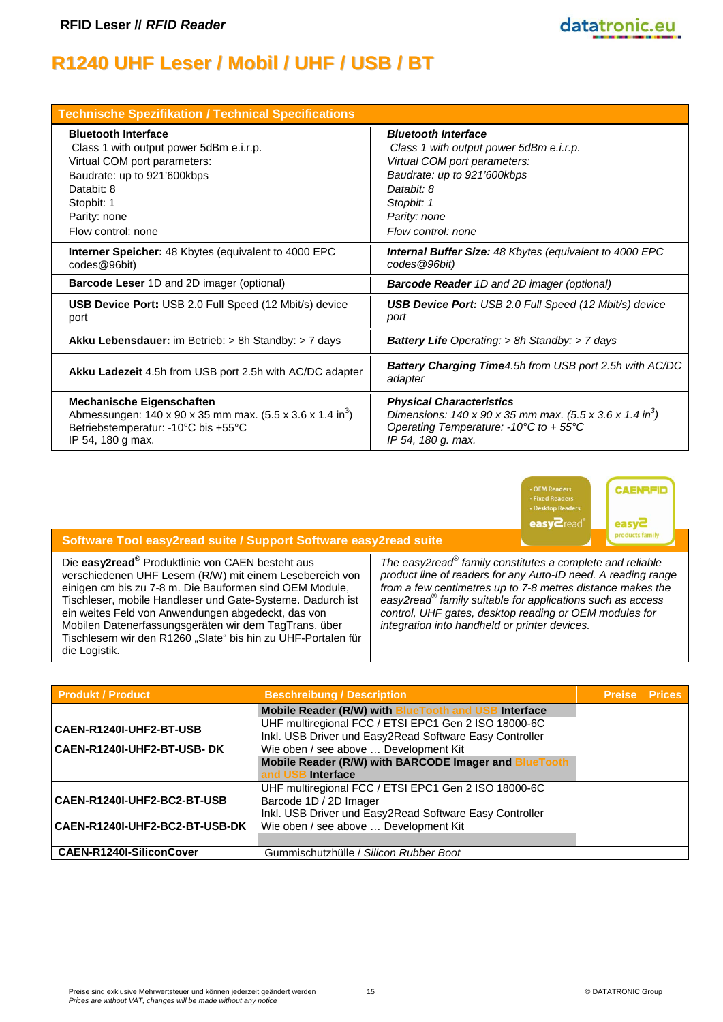# **R1240 UHF Leser / Mobil / UHF / USB / BT**

| <b>Technische Spezifikation / Technical Specifications</b>            |                                                                                          |
|-----------------------------------------------------------------------|------------------------------------------------------------------------------------------|
| <b>Bluetooth Interface</b>                                            | <b>Bluetooth Interface</b>                                                               |
| Class 1 with output power 5dBm e.i.r.p.                               | Class 1 with output power 5dBm e.i.r.p.                                                  |
| Virtual COM port parameters:                                          | Virtual COM port parameters:                                                             |
| Baudrate: up to 921'600kbps                                           | Baudrate: up to 921'600kbps                                                              |
| Databit: 8                                                            | Databit: 8                                                                               |
| Stopbit: 1                                                            | Stopbit: 1                                                                               |
| Parity: none                                                          | Parity: none                                                                             |
| Flow control: none                                                    | Flow control: none                                                                       |
| Interner Speicher: 48 Kbytes (equivalent to 4000 EPC                  | Internal Buffer Size: 48 Kbytes (equivalent to 4000 EPC                                  |
| codes@96bit)                                                          | codes @96bit)                                                                            |
| <b>Barcode Leser 1D and 2D imager (optional)</b>                      | <b>Barcode Reader</b> 1D and 2D imager (optional)                                        |
| <b>USB Device Port: USB 2.0 Full Speed (12 Mbit/s) device</b>         | <b>USB Device Port:</b> USB 2.0 Full Speed (12 Mbit/s) device                            |
| port                                                                  | port                                                                                     |
| Akku Lebensdauer: im Betrieb: > 8h Standby: > 7 days                  | <b>Battery Life Operating: &gt; 8h Standby: &gt; 7 days</b>                              |
| Akku Ladezeit 4.5h from USB port 2.5h with AC/DC adapter              | <b>Battery Charging Time</b> 4.5h from USB port 2.5h with AC/DC<br>adapter               |
| <b>Mechanische Eigenschaften</b>                                      | <b>Physical Characteristics</b>                                                          |
| Abmessungen: 140 x 90 x 35 mm max. (5.5 x 3.6 x 1.4 in <sup>3</sup> ) | Dimensions: $140 \times 90 \times 35$ mm max. $(5.5 \times 3.6 \times 1.4 \text{ in}^3)$ |
| Betriebstemperatur: -10°C bis +55°C                                   | Operating Temperature: -10 $\degree$ C to +55 $\degree$ C                                |
| IP 54, 180 g max.                                                     | IP 54, 180 g. max.                                                                       |



datatronic.eu

#### **Software Tool easy2read suite / Support Software easy2read suite**

Die **easy2read®** Produktlinie von CAEN besteht aus verschiedenen UHF Lesern (R/W) mit einem Lesebereich von einigen cm bis zu 7-8 m. Die Bauformen sind OEM Module, Tischleser, mobile Handleser und Gate-Systeme. Dadurch ist ein weites Feld von Anwendungen abgedeckt, das von Mobilen Datenerfassungsgeräten wir dem TagTrans, über Tischlesern wir den R1260 "Slate" bis hin zu UHF-Portalen für die Logistik.

*The easy2read® family constitutes a complete and reliable product line of readers for any Auto-ID need. A reading range from a few centimetres up to 7-8 metres distance makes the easy2read® family suitable for applications such as access control, UHF gates, desktop reading or OEM modules for integration into handheld or printer devices.*

| <b>Produkt / Product</b>              | <b>Beschreibung / Description</b>                                                                                                         | <b>Preise Prices</b> |  |
|---------------------------------------|-------------------------------------------------------------------------------------------------------------------------------------------|----------------------|--|
|                                       | <b>Mobile Reader (R/W) with BlueTooth and USB</b><br><b>Interface</b>                                                                     |                      |  |
| CAEN-R1240I-UHF2-BT-USB               | UHF multiregional FCC / ETSI EPC1 Gen 2 ISO 18000-6C<br>Inkl. USB Driver und Easy2Read Software Easy Controller                           |                      |  |
| <b>CAEN-R1240I-UHF2-BT-USB- DK</b>    | Wie oben / see above  Development Kit                                                                                                     |                      |  |
|                                       | Mobile Reader (R/W) with BARCODE Imager and BlueTooth                                                                                     |                      |  |
|                                       | Interface<br>and US                                                                                                                       |                      |  |
| <b>CAEN-R1240I-UHF2-BC2-BT-USB</b>    | UHF multiregional FCC / ETSI EPC1 Gen 2 ISO 18000-6C<br>Barcode 1D / 2D Imager<br>Inkl. USB Driver und Easy2Read Software Easy Controller |                      |  |
| <b>CAEN-R1240I-UHF2-BC2-BT-USB-DK</b> | Wie oben / see above  Development Kit                                                                                                     |                      |  |
|                                       |                                                                                                                                           |                      |  |
| <b>CAEN-R1240I-SiliconCover</b>       | Gummischutzhülle / Silicon Rubber Boot                                                                                                    |                      |  |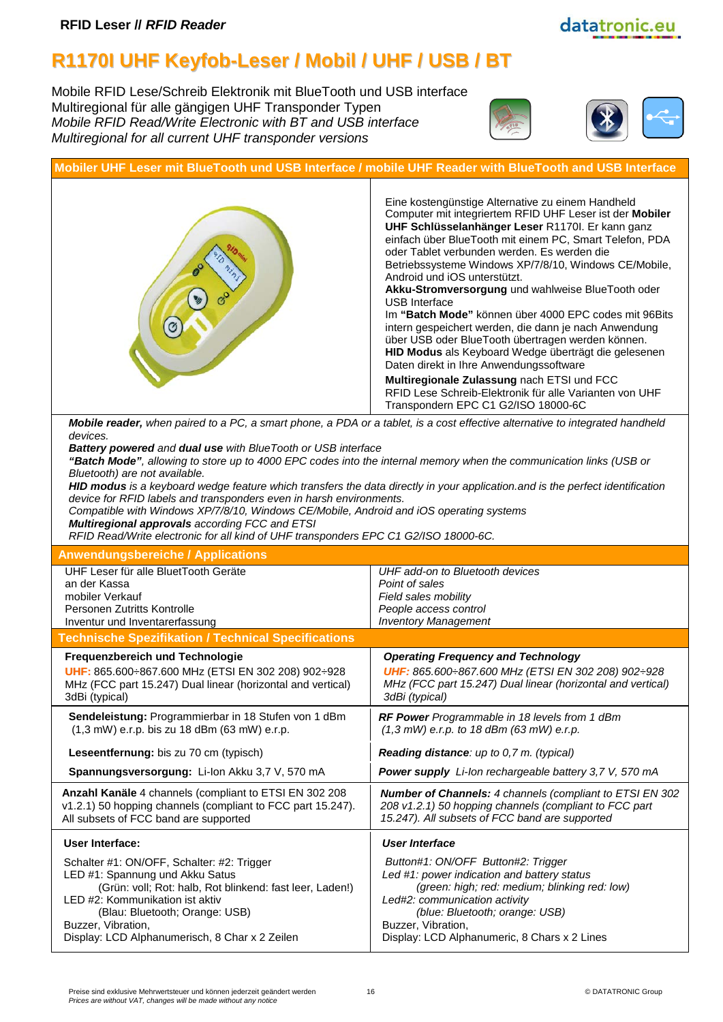# **R1170I UHF Keyfob-Leser / Mobil / UHF / USB / BT**

Mobile RFID Lese/Schreib Elektronik mit BlueTooth und USB interface Multiregional für alle gängigen UHF Transponder Typen *Mobile RFID Read/Write Electronic with BT and USB interface Multiregional for all current UHF transponder versions*





datatronic.eu

| Mobiler UHF Leser mit BlueTooth und USB Interface / mobile UHF Reader with BlueTooth and USB Interface                                                                                                                                                                                                                                                                                                                                                                                                                                                                                                                                                                                                                                                                                                      |                                                                                                                                                                                                                                                                                                                                                                                                                                                                                                                                                                                                                                                                                                                                                                                                                                                                      |
|-------------------------------------------------------------------------------------------------------------------------------------------------------------------------------------------------------------------------------------------------------------------------------------------------------------------------------------------------------------------------------------------------------------------------------------------------------------------------------------------------------------------------------------------------------------------------------------------------------------------------------------------------------------------------------------------------------------------------------------------------------------------------------------------------------------|----------------------------------------------------------------------------------------------------------------------------------------------------------------------------------------------------------------------------------------------------------------------------------------------------------------------------------------------------------------------------------------------------------------------------------------------------------------------------------------------------------------------------------------------------------------------------------------------------------------------------------------------------------------------------------------------------------------------------------------------------------------------------------------------------------------------------------------------------------------------|
|                                                                                                                                                                                                                                                                                                                                                                                                                                                                                                                                                                                                                                                                                                                                                                                                             | Eine kostengünstige Alternative zu einem Handheld<br>Computer mit integriertem RFID UHF Leser ist der Mobiler<br>UHF Schlüsselanhänger Leser R1170I. Er kann ganz<br>einfach über BlueTooth mit einem PC, Smart Telefon, PDA<br>oder Tablet verbunden werden. Es werden die<br>Betriebssysteme Windows XP/7/8/10, Windows CE/Mobile,<br>Android und iOS unterstützt.<br>Akku-Stromversorgung und wahlweise BlueTooth oder<br>USB Interface<br>Im "Batch Mode" können über 4000 EPC codes mit 96Bits<br>intern gespeichert werden, die dann je nach Anwendung<br>über USB oder BlueTooth übertragen werden können.<br>HID Modus als Keyboard Wedge überträgt die gelesenen<br>Daten direkt in Ihre Anwendungssoftware<br>Multiregionale Zulassung nach ETSI und FCC<br>RFID Lese Schreib-Elektronik für alle Varianten von UHF<br>Transpondern EPC C1 G2/ISO 18000-6C |
| Mobile reader, when paired to a PC, a smart phone, a PDA or a tablet, is a cost effective alternative to integrated handheld<br>devices.<br>Battery powered and dual use with BlueTooth or USB interface<br>"Batch Mode", allowing to store up to 4000 EPC codes into the internal memory when the communication links (USB or<br>Bluetooth) are not available.<br>HID modus is a keyboard wedge feature which transfers the data directly in your application.and is the perfect identification<br>device for RFID labels and transponders even in harsh environments.<br>Compatible with Windows XP/7/8/10, Windows CE/Mobile, Android and iOS operating systems<br>Multiregional approvals according FCC and ETSI<br>RFID Read/Write electronic for all kind of UHF transponders EPC C1 G2/ISO 18000-6C. |                                                                                                                                                                                                                                                                                                                                                                                                                                                                                                                                                                                                                                                                                                                                                                                                                                                                      |
| <b>Anwendungsbereiche / Applications</b>                                                                                                                                                                                                                                                                                                                                                                                                                                                                                                                                                                                                                                                                                                                                                                    |                                                                                                                                                                                                                                                                                                                                                                                                                                                                                                                                                                                                                                                                                                                                                                                                                                                                      |
| UHF Leser für alle BluetTooth Geräte<br>an der Kassa<br>mobiler Verkauf<br>Personen Zutritts Kontrolle<br>Inventur und Inventarerfassung                                                                                                                                                                                                                                                                                                                                                                                                                                                                                                                                                                                                                                                                    | UHF add-on to Bluetooth devices<br>Point of sales<br>Field sales mobility<br>People access control<br><b>Inventory Management</b>                                                                                                                                                                                                                                                                                                                                                                                                                                                                                                                                                                                                                                                                                                                                    |
| <b>Technische Spezifikation / Technical Specifications</b>                                                                                                                                                                                                                                                                                                                                                                                                                                                                                                                                                                                                                                                                                                                                                  |                                                                                                                                                                                                                                                                                                                                                                                                                                                                                                                                                                                                                                                                                                                                                                                                                                                                      |
| Frequenzbereich und Technologie<br>UHF: 865.600÷867.600 MHz (ETSI EN 302 208) 902÷928<br>MHz (FCC part 15.247) Dual linear (horizontal and vertical)<br>3dBi (typical)                                                                                                                                                                                                                                                                                                                                                                                                                                                                                                                                                                                                                                      | <b>Operating Frequency and Technology</b><br>UHF: 865.600: 867.600 MHz (ETSI EN 302 208) 902: 928<br>MHz (FCC part 15.247) Dual linear (horizontal and vertical)<br>3dBi (typical)                                                                                                                                                                                                                                                                                                                                                                                                                                                                                                                                                                                                                                                                                   |
| Sendeleistung: Programmierbar in 18 Stufen von 1 dBm<br>(1,3 mW) e.r.p. bis zu 18 dBm (63 mW) e.r.p.                                                                                                                                                                                                                                                                                                                                                                                                                                                                                                                                                                                                                                                                                                        | RF Power Programmable in 18 levels from 1 dBm<br>$(1,3 mW)$ e.r.p. to 18 dBm (63 mW) e.r.p.                                                                                                                                                                                                                                                                                                                                                                                                                                                                                                                                                                                                                                                                                                                                                                          |
| Leseentfernung: bis zu 70 cm (typisch)                                                                                                                                                                                                                                                                                                                                                                                                                                                                                                                                                                                                                                                                                                                                                                      | <b>Reading distance:</b> up to 0,7 m. (typical)                                                                                                                                                                                                                                                                                                                                                                                                                                                                                                                                                                                                                                                                                                                                                                                                                      |
| Spannungsversorgung: Li-Ion Akku 3,7 V, 570 mA                                                                                                                                                                                                                                                                                                                                                                                                                                                                                                                                                                                                                                                                                                                                                              | Power supply Li-Ion rechargeable battery 3,7 V, 570 mA                                                                                                                                                                                                                                                                                                                                                                                                                                                                                                                                                                                                                                                                                                                                                                                                               |
| Anzahl Kanäle 4 channels (compliant to ETSI EN 302 208<br>v1.2.1) 50 hopping channels (compliant to FCC part 15.247).<br>All subsets of FCC band are supported                                                                                                                                                                                                                                                                                                                                                                                                                                                                                                                                                                                                                                              | <b>Number of Channels: 4 channels (compliant to ETSI EN 302</b><br>208 v1.2.1) 50 hopping channels (compliant to FCC part<br>15.247). All subsets of FCC band are supported                                                                                                                                                                                                                                                                                                                                                                                                                                                                                                                                                                                                                                                                                          |
| <b>User Interface:</b>                                                                                                                                                                                                                                                                                                                                                                                                                                                                                                                                                                                                                                                                                                                                                                                      | <b>User Interface</b>                                                                                                                                                                                                                                                                                                                                                                                                                                                                                                                                                                                                                                                                                                                                                                                                                                                |
| Schalter #1: ON/OFF, Schalter: #2: Trigger<br>LED #1: Spannung und Akku Satus<br>(Grün: voll; Rot: halb, Rot blinkend: fast leer, Laden!)<br>LED #2: Kommunikation ist aktiv<br>(Blau: Bluetooth; Orange: USB)<br>Buzzer, Vibration,                                                                                                                                                                                                                                                                                                                                                                                                                                                                                                                                                                        | Button#1: ON/OFF Button#2: Trigger<br>Led #1: power indication and battery status<br>(green: high; red: medium; blinking red: low)<br>Led#2: communication activity<br>(blue: Bluetooth; orange: USB)<br>Buzzer, Vibration,                                                                                                                                                                                                                                                                                                                                                                                                                                                                                                                                                                                                                                          |

Display: LCD Alphanumerisch, 8 Char x 2 Zeilen

Display: LCD Alphanumeric, 8 Chars x 2 Lines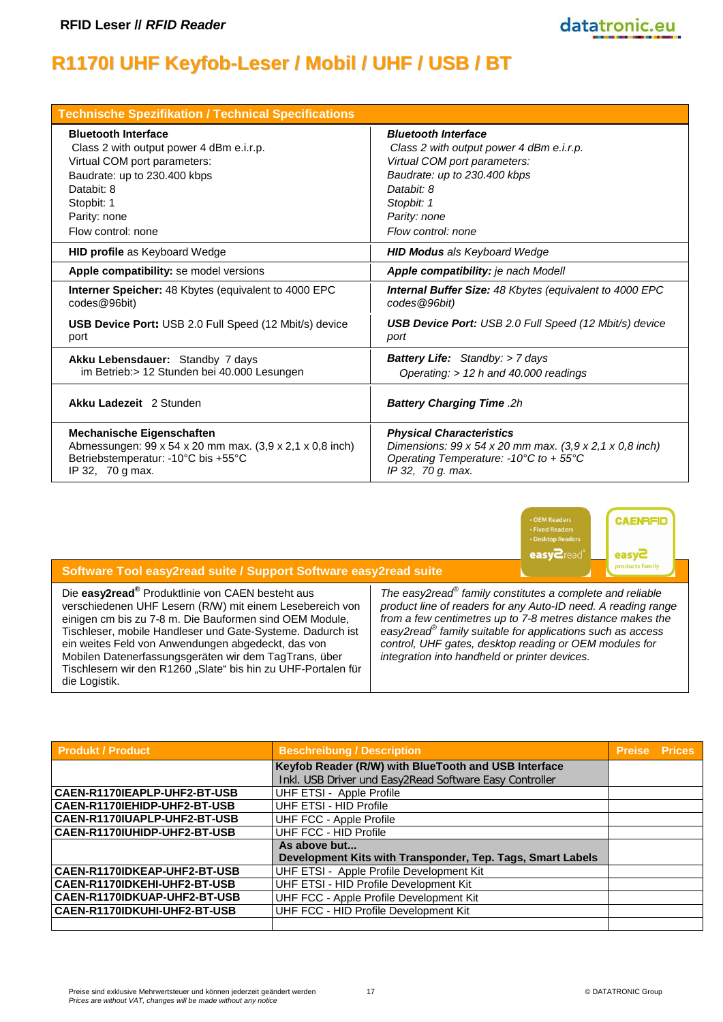# **R1170I UHF Keyfob-Leser / Mobil / UHF / USB / BT**

| <b>Technische Spezifikation / Technical Specifications</b>    |                                                                                 |
|---------------------------------------------------------------|---------------------------------------------------------------------------------|
| <b>Bluetooth Interface</b>                                    | <b>Bluetooth Interface</b>                                                      |
| Class 2 with output power 4 dBm e.i.r.p.                      | Class 2 with output power 4 dBm e.i.r.p.                                        |
| Virtual COM port parameters:                                  | Virtual COM port parameters:                                                    |
| Baudrate: up to 230.400 kbps                                  | Baudrate: up to 230.400 kbps                                                    |
| Databit: 8                                                    | Databit: 8                                                                      |
| Stopbit: 1                                                    | Stopbit: 1                                                                      |
| Parity: none                                                  | Parity: none                                                                    |
| Flow control: none                                            | Flow control: none                                                              |
| <b>HID profile</b> as Keyboard Wedge                          | <b>HID Modus</b> als Keyboard Wedge                                             |
| Apple compatibility: se model versions                        | Apple compatibility: je nach Modell                                             |
| Interner Speicher: 48 Kbytes (equivalent to 4000 EPC          | <b>Internal Buffer Size: 48 Kbytes (equivalent to 4000 EPC</b>                  |
| codes@96bit)                                                  | codes @96bit)                                                                   |
| <b>USB Device Port: USB 2.0 Full Speed (12 Mbit/s) device</b> | <b>USB Device Port:</b> USB 2.0 Full Speed (12 Mbit/s) device                   |
| port                                                          | port                                                                            |
| Akku Lebensdauer: Standby 7 days                              | <b>Battery Life:</b> Standby: > 7 days                                          |
| im Betrieb: > 12 Stunden bei 40.000 Lesungen                  | Operating: > 12 h and 40.000 readings                                           |
| Akku Ladezeit 2 Stunden                                       | <b>Battery Charging Time .2h</b>                                                |
| <b>Mechanische Eigenschaften</b>                              | <b>Physical Characteristics</b>                                                 |
| Abmessungen: 99 x 54 x 20 mm max. (3,9 x 2,1 x 0,8 inch)      | Dimensions: $99 \times 54 \times 20$ mm max. $(3,9 \times 2,1 \times 0,8$ inch) |
| Betriebstemperatur: -10°C bis +55°C                           | Operating Temperature: -10 $\degree$ C to +55 $\degree$ C                       |
| IP 32, 70 g max.                                              | IP 32, 70 g. max.                                                               |



datatronic.eu

| Software Tool easy2read suite / Support Software easy2read suite                                                                                                                                                                                                                                                                                                                                                                                   |                                                                                                                                                                                                                                                                                                                                                                                         |
|----------------------------------------------------------------------------------------------------------------------------------------------------------------------------------------------------------------------------------------------------------------------------------------------------------------------------------------------------------------------------------------------------------------------------------------------------|-----------------------------------------------------------------------------------------------------------------------------------------------------------------------------------------------------------------------------------------------------------------------------------------------------------------------------------------------------------------------------------------|
| Die easy2read <sup>®</sup> Produktlinie von CAEN besteht aus<br>verschiedenen UHF Lesern (R/W) mit einem Lesebereich von<br>einigen cm bis zu 7-8 m. Die Bauformen sind OEM Module,<br>Tischleser, mobile Handleser und Gate-Systeme. Dadurch ist<br>ein weites Feld von Anwendungen abgedeckt, das von<br>Mobilen Datenerfassungsgeräten wir dem TagTrans, über<br>Tischlesern wir den R1260 "Slate" bis hin zu UHF-Portalen für<br>die Logistik. | The easy2read <sup>®</sup> family constitutes a complete and reliable<br>product line of readers for any Auto-ID need. A reading range<br>from a few centimetres up to 7-8 metres distance makes the<br>easy2read $^{\circ}$ family suitable for applications such as access<br>control, UHF gates, desktop reading or OEM modules for<br>integration into handheld or printer devices. |

| <b>Produkt / Product</b>     | <b>Beschreibung / Description</b>                          | <b>Preise Prices</b> |  |
|------------------------------|------------------------------------------------------------|----------------------|--|
|                              | Keyfob Reader (R/W) with BlueTooth and USB Interface       |                      |  |
|                              | Inkl. USB Driver und Easy2Read Software Easy Controller    |                      |  |
| CAEN-R1170IEAPLP-UHF2-BT-USB | UHF ETSI - Apple Profile                                   |                      |  |
| CAEN-R1170IEHIDP-UHF2-BT-USB | UHF ETSI - HID Profile                                     |                      |  |
| CAEN-R1170IUAPLP-UHF2-BT-USB | UHF FCC - Apple Profile                                    |                      |  |
| CAEN-R1170IUHIDP-UHF2-BT-USB | UHF FCC - HID Profile                                      |                      |  |
|                              | As above but                                               |                      |  |
|                              | Development Kits with Transponder, Tep. Tags, Smart Labels |                      |  |
| CAEN-R1170IDKEAP-UHF2-BT-USB | UHF ETSI - Apple Profile Development Kit                   |                      |  |
| CAEN-R1170IDKEHI-UHF2-BT-USB | UHF ETSI - HID Profile Development Kit                     |                      |  |
| CAEN-R1170IDKUAP-UHF2-BT-USB | UHF FCC - Apple Profile Development Kit                    |                      |  |
| CAEN-R1170IDKUHI-UHF2-BT-USB | UHF FCC - HID Profile Development Kit                      |                      |  |
|                              |                                                            |                      |  |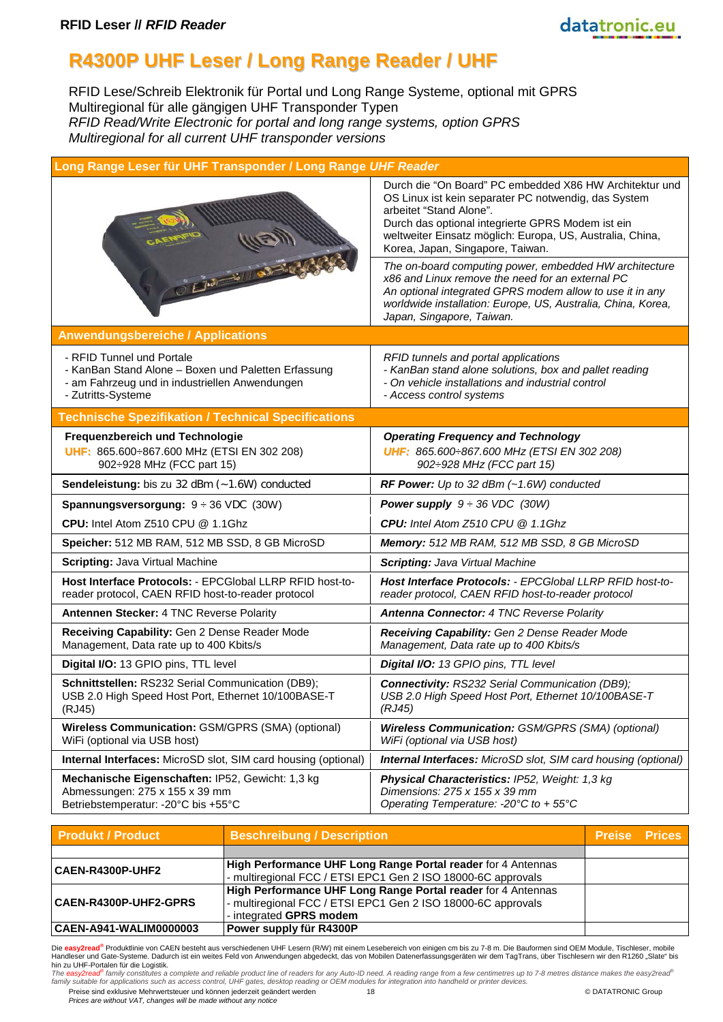

#### **R4300P UHF Leser / Long Range Reader / UHF**

RFID Lese/Schreib Elektronik für Portal und Long Range Systeme, optional mit GPRS Multiregional für alle gängigen UHF Transponder Typen *RFID Read/Write Electronic for portal and long range systems, option GPRS Multiregional for all current UHF transponder versions*

| Long Range Leser für UHF Transponder / Long Range UHF Reader                                                                                             |                                                                                                                                                                                                                                                                                                  |  |  |
|----------------------------------------------------------------------------------------------------------------------------------------------------------|--------------------------------------------------------------------------------------------------------------------------------------------------------------------------------------------------------------------------------------------------------------------------------------------------|--|--|
|                                                                                                                                                          | Durch die "On Board" PC embedded X86 HW Architektur und<br>OS Linux ist kein separater PC notwendig, das System<br>arbeitet "Stand Alone".<br>Durch das optional integrierte GPRS Modem ist ein<br>weltweiter Einsatz möglich: Europa, US, Australia, China,<br>Korea, Japan, Singapore, Taiwan. |  |  |
| $0.513 - 101$                                                                                                                                            | The on-board computing power, embedded HW architecture<br>x86 and Linux remove the need for an external PC<br>An optional integrated GPRS modem allow to use it in any<br>worldwide installation: Europe, US, Australia, China, Korea,<br>Japan, Singapore, Taiwan.                              |  |  |
| <b>Anwendungsbereiche / Applications</b>                                                                                                                 |                                                                                                                                                                                                                                                                                                  |  |  |
| - RFID Tunnel und Portale<br>- KanBan Stand Alone - Boxen und Paletten Erfassung<br>- am Fahrzeug und in industriellen Anwendungen<br>- Zutritts-Systeme | RFID tunnels and portal applications<br>- KanBan stand alone solutions, box and pallet reading<br>- On vehicle installations and industrial control<br>- Access control systems                                                                                                                  |  |  |
| <b>Technische Spezifikation / Technical Specifications</b>                                                                                               |                                                                                                                                                                                                                                                                                                  |  |  |
| Frequenzbereich und Technologie<br>UHF: 865.600÷867.600 MHz (ETSI EN 302 208)<br>902÷928 MHz (FCC part 15)                                               | <b>Operating Frequency and Technology</b><br>UHF: 865.600: 867.600 MHz (ETSI EN 302 208)<br>902: 928 MHz (FCC part 15)                                                                                                                                                                           |  |  |
| Sendeleistung: bis zu 32 dBm (~1.6W) conducted                                                                                                           | RF Power: Up to 32 dBm $(-1.6W)$ conducted                                                                                                                                                                                                                                                       |  |  |
| <b>Spannungsversorgung:</b> $9 \div 36$ VDC (30W)                                                                                                        | <b>Power supply</b> $9 \div 36$ VDC (30W)                                                                                                                                                                                                                                                        |  |  |
| CPU: Intel Atom Z510 CPU @ 1.1Ghz                                                                                                                        | CPU: Intel Atom Z510 CPU @ 1.1Ghz                                                                                                                                                                                                                                                                |  |  |
| Speicher: 512 MB RAM, 512 MB SSD, 8 GB MicroSD                                                                                                           | Memory: 512 MB RAM, 512 MB SSD, 8 GB MicroSD                                                                                                                                                                                                                                                     |  |  |
| <b>Scripting: Java Virtual Machine</b>                                                                                                                   | <b>Scripting: Java Virtual Machine</b>                                                                                                                                                                                                                                                           |  |  |
| Host Interface Protocols: - EPCGlobal LLRP RFID host-to-<br>reader protocol, CAEN RFID host-to-reader protocol                                           | Host Interface Protocols: - EPCGlobal LLRP RFID host-to-<br>reader protocol, CAEN RFID host-to-reader protocol                                                                                                                                                                                   |  |  |
| Antennen Stecker: 4 TNC Reverse Polarity                                                                                                                 | <b>Antenna Connector: 4 TNC Reverse Polarity</b>                                                                                                                                                                                                                                                 |  |  |
| Receiving Capability: Gen 2 Dense Reader Mode<br>Management, Data rate up to 400 Kbits/s                                                                 | Receiving Capability: Gen 2 Dense Reader Mode<br>Management, Data rate up to 400 Kbits/s                                                                                                                                                                                                         |  |  |
| Digital I/O: 13 GPIO pins, TTL level                                                                                                                     | Digital I/O: 13 GPIO pins, TTL level                                                                                                                                                                                                                                                             |  |  |
| Schnittstellen: RS232 Serial Communication (DB9);<br>USB 2.0 High Speed Host Port, Ethernet 10/100BASE-T<br>(RJ45)                                       | <b>Connectivity: RS232 Serial Communication (DB9);</b><br>USB 2.0 High Speed Host Port, Ethernet 10/100BASE-T<br>(RJ45)                                                                                                                                                                          |  |  |
| <b>Wireless Communication: GSM/GPRS (SMA) (optional)</b><br>WiFi (optional via USB host)                                                                 | <b>Wireless Communication: GSM/GPRS (SMA) (optional)</b><br>WiFi (optional via USB host)                                                                                                                                                                                                         |  |  |
| <b>Internal Interfaces:</b> MicroSD slot, SIM card housing (optional)                                                                                    | <b>Internal Interfaces:</b> MicroSD slot, SIM card housing (optional)                                                                                                                                                                                                                            |  |  |
| Mechanische Eigenschaften: IP52, Gewicht: 1,3 kg<br>Abmessungen: 275 x 155 x 39 mm<br>Betriebstemperatur: -20°C bis +55°C                                | <b>Physical Characteristics: IP52, Weight: 1,3 kg</b><br>Dimensions: 275 x 155 x 39 mm<br>Operating Temperature: - 20°C to + 55°C                                                                                                                                                                |  |  |

| <b>Produkt / Product</b>     | <b>Beschreibung / Description</b>                                                                                                                       | <b>Preise Prices</b> |  |
|------------------------------|---------------------------------------------------------------------------------------------------------------------------------------------------------|----------------------|--|
|                              |                                                                                                                                                         |                      |  |
| <b>CAEN-R4300P-UHF2</b>      | <b>High Performance UHF Long Range Portal reader for 4 Antennas</b><br>- multiregional FCC / ETSI EPC1 Gen 2 ISO 18000-6C approvals                     |                      |  |
| <b>CAEN-R4300P-UHF2-GPRS</b> | High Performance UHF Long Range Portal reader for 4 Antennas<br>- multiregional FCC / ETSI EPC1 Gen 2 ISO 18000-6C approvals<br>- integrated GPRS modem |                      |  |
| CAEN-A941-WALIM0000003       | Power supply für R4300P                                                                                                                                 |                      |  |

Die <mark>easy2read<sup>®</sup> Produktlinie von CAEN besteht aus verschiedenen UHF Lesern (R/W) mit einem Lesebereich von einigen cm bis zu 7-8 m. Die Bauformen sind OEM Module, Tischleser, mobile<br>Handleser und Gate-Systeme. Dadurch is</mark>

hin zu UHF-Portalen für die Logistik.<br>The easy2read<sup>ser</sup>tamily constitutes a complete and reliable product line of readers for any Auto-ID need. A reading range from a few centimetres up to 7-8 metres distance makes the ea

Preise sind exklusive Mehrwertsteuer und können jederzeit geändert werden 18 © DATATRONIC Group *Prices are without VAT, changes will be made without any notice*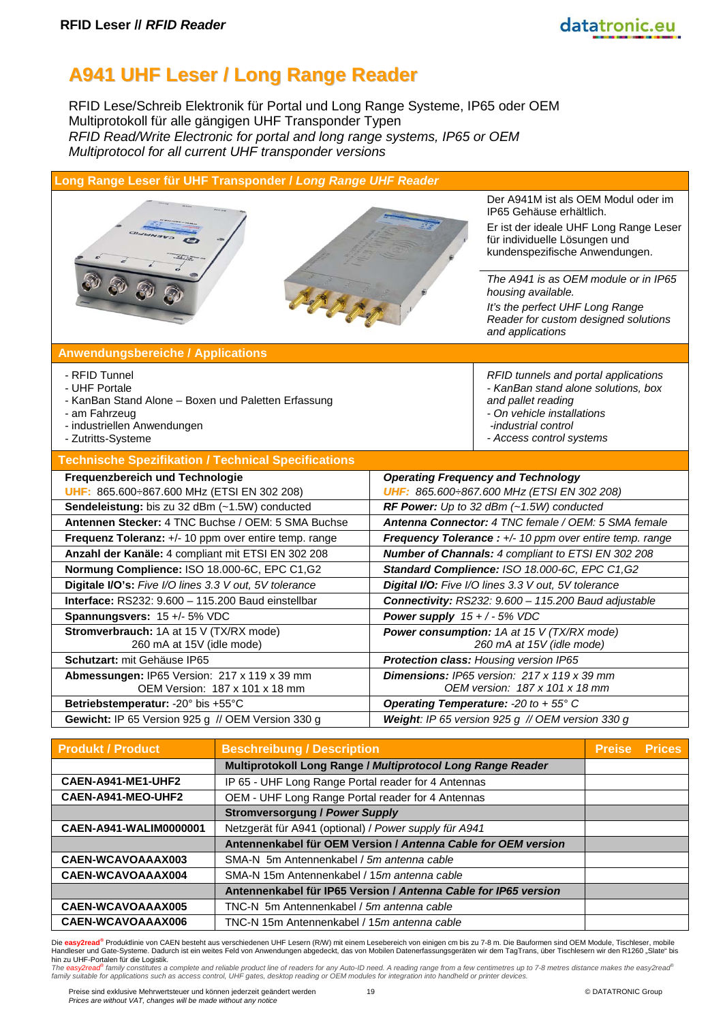### **A941 UHF Leser / Long Range Reader**

RFID Lese/Schreib Elektronik für Portal und Long Range Systeme, IP65 oder OEM Multiprotokoll für alle gängigen UHF Transponder Typen *RFID Read/Write Electronic for portal and long range systems, IP65 or OEM Multiprotocol for all current UHF transponder versions*

| Long Range Leser für UHF Transponder / Long Range UHF Reader                                                                                                |                                                                         |                                                                                                                                                                                                                                                                                                                                           |  |
|-------------------------------------------------------------------------------------------------------------------------------------------------------------|-------------------------------------------------------------------------|-------------------------------------------------------------------------------------------------------------------------------------------------------------------------------------------------------------------------------------------------------------------------------------------------------------------------------------------|--|
| Set 2 Re                                                                                                                                                    |                                                                         | Der A941M ist als OEM Modul oder im<br>IP65 Gehäuse erhältlich.<br>Er ist der ideale UHF Long Range Leser<br>für individuelle Lösungen und<br>kundenspezifische Anwendungen.<br>The A941 is as OEM module or in IP65<br>housing available.<br>It's the perfect UHF Long Range<br>Reader for custom designed solutions<br>and applications |  |
| <b>Anwendungsbereiche / Applications</b>                                                                                                                    |                                                                         |                                                                                                                                                                                                                                                                                                                                           |  |
| - RFID Tunnel<br>- UHF Portale<br>- KanBan Stand Alone - Boxen und Paletten Erfassung<br>- am Fahrzeug<br>- industriellen Anwendungen<br>- Zutritts-Systeme |                                                                         | RFID tunnels and portal applications<br>- KanBan stand alone solutions, box<br>and pallet reading<br>- On vehicle installations<br>-industrial control<br>- Access control systems                                                                                                                                                        |  |
| <b>Technische Spezifikation / Technical Specifications</b>                                                                                                  |                                                                         |                                                                                                                                                                                                                                                                                                                                           |  |
| Frequenzbereich und Technologie<br>UHF: 865.600÷867.600 MHz (ETSI EN 302 208)                                                                               |                                                                         | <b>Operating Frequency and Technology</b><br>UHF: 865.600:867.600 MHz (ETSI EN 302 208)                                                                                                                                                                                                                                                   |  |
| Sendeleistung: bis zu 32 dBm (~1.5W) conducted<br>Antennen Stecker: 4 TNC Buchse / OEM: 5 SMA Buchse                                                        |                                                                         | RF Power: Up to 32 dBm $(-1.5W)$ conducted<br>Antenna Connector: 4 TNC female / OEM: 5 SMA female                                                                                                                                                                                                                                         |  |
| Frequenz Toleranz: +/- 10 ppm over entire temp. range                                                                                                       | Frequency Tolerance : +/- 10 ppm over entire temp. range                |                                                                                                                                                                                                                                                                                                                                           |  |
| Anzahl der Kanäle: 4 compliant mit ETSI EN 302 208                                                                                                          | Number of Channals: 4 compliant to ETSI EN 302 208                      |                                                                                                                                                                                                                                                                                                                                           |  |
| Normung Complience: ISO 18.000-6C, EPC C1,G2                                                                                                                |                                                                         | Standard Complience: ISO 18.000-6C, EPC C1,G2                                                                                                                                                                                                                                                                                             |  |
| Digitale I/O's: Five I/O lines 3.3 V out, 5V tolerance                                                                                                      | Digital I/O: Five I/O lines 3.3 V out, 5V tolerance                     |                                                                                                                                                                                                                                                                                                                                           |  |
| Interface: RS232: 9.600 - 115.200 Baud einstellbar                                                                                                          | Connectivity: RS232: 9.600 - 115.200 Baud adjustable                    |                                                                                                                                                                                                                                                                                                                                           |  |
| Spannungsvers: 15 +/- 5% VDC                                                                                                                                | Power supply $15 + / -5\%$ VDC                                          |                                                                                                                                                                                                                                                                                                                                           |  |
| Stromverbrauch: 1A at 15 V (TX/RX mode)<br>260 mA at 15V (idle mode)                                                                                        | Power consumption: 1A at 15 V (TX/RX mode)<br>260 mA at 15V (idle mode) |                                                                                                                                                                                                                                                                                                                                           |  |
| Schutzart: mit Gehäuse IP65                                                                                                                                 |                                                                         | Protection class: Housing version IP65                                                                                                                                                                                                                                                                                                    |  |
| Abmessungen: IP65 Version: 217 x 119 x 39 mm<br>OEM Version: 187 x 101 x 18 mm                                                                              |                                                                         | <b>Dimensions:</b> IP65 version: 217 x 119 x 39 mm<br>OEM version: 187 x 101 x 18 mm                                                                                                                                                                                                                                                      |  |
| Betriebstemperatur: - 20° bis +55°C                                                                                                                         |                                                                         | Operating Temperature: - 20 to + 55° C                                                                                                                                                                                                                                                                                                    |  |
| Gewicht: IP 65 Version 925 g // OEM Version 330 g                                                                                                           |                                                                         | Weight: IP 65 version 925 g // OEM version 330 g                                                                                                                                                                                                                                                                                          |  |
|                                                                                                                                                             |                                                                         |                                                                                                                                                                                                                                                                                                                                           |  |

| <b>Produkt / Product</b> | <b>Beschreibung / Description</b>                               | Preise | <b>Prices</b> |
|--------------------------|-----------------------------------------------------------------|--------|---------------|
|                          | Multiprotokoll Long Range / Multiprotocol Long Range Reader     |        |               |
| CAEN-A941-ME1-UHF2       | IP 65 - UHF Long Range Portal reader for 4 Antennas             |        |               |
| CAEN-A941-MEO-UHF2       | OEM - UHF Long Range Portal reader for 4 Antennas               |        |               |
|                          | <b>Stromversorgung / Power Supply</b>                           |        |               |
| CAEN-A941-WALIM0000001   | Netzgerät für A941 (optional) / Power supply für A941           |        |               |
|                          | Antennenkabel für OEM Version / Antenna Cable for OEM version   |        |               |
| CAEN-WCAVOAAAX003        | SMA-N 5m Antennenkabel / 5m antenna cable                       |        |               |
| CAEN-WCAVOAAAX004        | SMA-N 15m Antennenkabel / 15m antenna cable                     |        |               |
|                          | Antennenkabel für IP65 Version / Antenna Cable for IP65 version |        |               |
| <b>CAEN-WCAVOAAAX005</b> | TNC-N 5m Antennenkabel / 5m antenna cable                       |        |               |
| CAEN-WCAVOAAAX006        |                                                                 |        |               |

Die <mark>easy2read<sup>®</sup> Produktlinie von CAEN besteht aus verschiedenen UHF Lesern (R/W) mit einem Lesebereich von einigen cm bis zu 7-8 m. Die Bauformen sind OEM Module, Tischleser, mobile<br>Handleser und Gate-Systeme. Dadurch is</mark>

hin zu UHF-Portalen für die Logistik.<br>The easy2read<sup>ser</sup>tamily constitutes a complete and reliable product line of readers for any Auto-ID need. A reading range from a few centimetres up to 7-8 metres distance makes the ea

Preise sind exklusive Mehrwertsteuer und können jederzeit geändert werden 19 © DATATRONIC Group *Prices are without VAT, changes will be made without any notice*